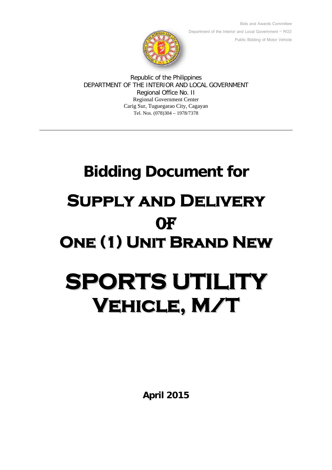

Bids and Awards Committee Department of the Interior and Local Government – RO2 Public Bidding of Motor Vehicle

Republic of the Philippines DEPARTMENT OF THE INTERIOR AND LOCAL GOVERNMENT Regional Office No. II Regional Government Center Carig Sur, Tuguegarao City, Cagayan Tel. Nos. (078)304 – 1978/7378

# **Bidding Document for Supply and Delivery OF One (1) Unit Brand New SPORTS UTILITY**

**Vehicle, M/T**

**April 2015**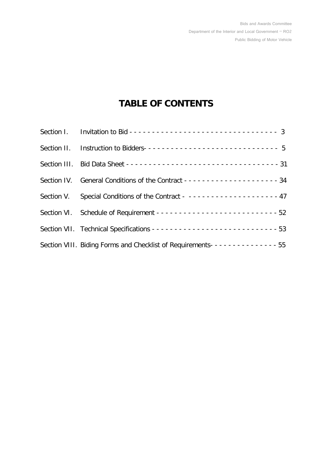# **TABLE OF CONTENTS**

| Section II. Instruction to Bidders-------------------------------- 5                   |  |
|----------------------------------------------------------------------------------------|--|
|                                                                                        |  |
|                                                                                        |  |
| Section V. Special Conditions of the Contract - ------------------- 47                 |  |
|                                                                                        |  |
|                                                                                        |  |
| Section VIII. Biding Forms and Checklist of Requirements- - - - - - - - - - - - - - 55 |  |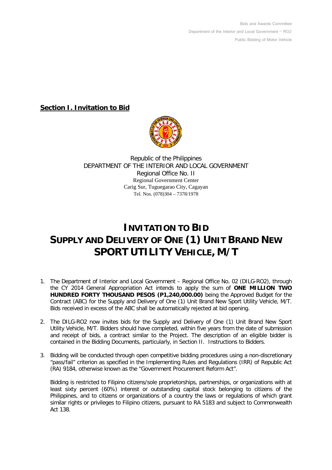Bids and Awards Committee Department of the Interior and Local Government – RO2 Public Bidding of Motor Vehicle

**Section I. Invitation to Bid**



Republic of the Philippines DEPARTMENT OF THE INTERIOR AND LOCAL GOVERNMENT Regional Office No. II Regional Government Center Carig Sur, Tuguegarao City, Cagayan Tel. Nos. (078)304 – 7378/1978

# **INVITATION TO BID SUPPLY AND DELIVERY OF ONE (1) UNIT BRAND NEW SPORT UTILITY VEHICLE, M/T**

- 1. The Department of Interior and Local Government Regional Office No. 02 (DILG-RO2), through the CY 2014 General Appropriation Act intends to apply the sum of **ONE MILLION TWO HUNDRED FORTY THOUSAND PESOS (P1,240,000.00)** being the Approved Budget for the Contract (ABC) for the Supply and Delivery of One (1) Unit Brand New Sport Utility Vehicle, M/T. Bids received in excess of the ABC shall be automatically rejected at bid opening.
- 2. The DILG-RO2 now invites bids for the Supply and Delivery of One (1) Unit Brand New Sport Utility Vehicle, M/T. Bidders should have completed, within five years from the date of submission and receipt of bids, a contract similar to the Project. The description of an eligible bidder is contained in the Bidding Documents, particularly, in Section II. Instructions to Bidders.
- 3. Bidding will be conducted through open competitive bidding procedures using a non-discretionary "pass/fail" criterion as specified in the Implementing Rules and Regulations (IRR) of Republic Act (RA) 9184, otherwise known as the "Government Procurement Reform Act".

Bidding is restricted to Filipino citizens/sole proprietorships, partnerships, or organizations with at least sixty percent (60%) interest or outstanding capital stock belonging to citizens of the Philippines, and to citizens or organizations of a country the laws or regulations of which grant similar rights or privileges to Filipino citizens, pursuant to RA 5183 and subject to Commonwealth Act 138.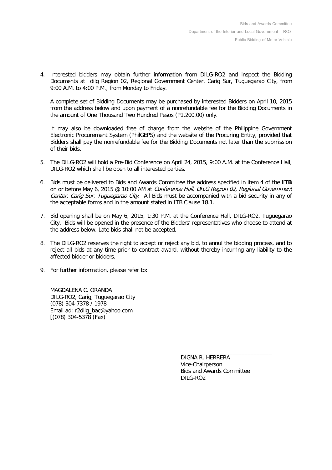4. Interested bidders may obtain further information from DILG-RO2 and inspect the Bidding Documents at dilg Region 02, Regional Government Center, Carig Sur, Tuguegarao City, from 9:00 A.M. to 4:00 P.M., from Monday to Friday.

A complete set of Bidding Documents may be purchased by interested Bidders on April 10, 2015 from the address below and upon payment of a nonrefundable fee for the Bidding Documents in the amount of One Thousand Two Hundred Pesos (P1,200.00) only.

It may also be downloaded free of charge from the website of the Philippine Government Electronic Procurement System (PhilGEPS) and the website of the Procuring Entity, provided that Bidders shall pay the nonrefundable fee for the Bidding Documents not later than the submission of their bids.

- 5. The DILG-RO2 will hold a Pre-Bid Conference on April 24, 2015, 9:00 A.M. at the Conference Hall, DILG-RO2 which shall be open to all interested parties.
- 6. Bids must be delivered to Bids and Awards Committee the address specified in item 4 of the **ITB** on or before May 6, 2015 @ 10:00 AM at *Conference Hall, DILG Region 02, Regional Government* Center, Carig Sur, Tuguegarao City. All Bids must be accompanied with a bid security in any of the acceptable forms and in the amount stated in ITB Clause 18.1.
- 7. Bid opening shall be on May 6, 2015, 1:30 P.M. at the Conference Hall, DILG-RO2, Tuguegarao City. Bids will be opened in the presence of the Bidders' representatives who choose to attend at the address below. Late bids shall not be accepted.
- 8. The DILG-RO2 reserves the right to accept or reject any bid, to annul the bidding process, and to reject all bids at any time prior to contract award, without thereby incurring any liability to the affected bidder or bidders.
- 9. For further information, please refer to:

MAGDALENA C. ORANDA DILG-RO2, Carig, Tuguegarao City (078) 304-7378 / 1978 Email ad: r2dilg\_bac@yahoo.com [(078) 304-5378 (Fax)

> DIGNA R. HERRERA Vice-Chairperson Bids and Awards Committee DILG-RO2

\_\_\_\_\_\_\_\_\_\_\_\_\_\_\_\_\_\_\_\_\_\_\_\_\_\_\_\_\_\_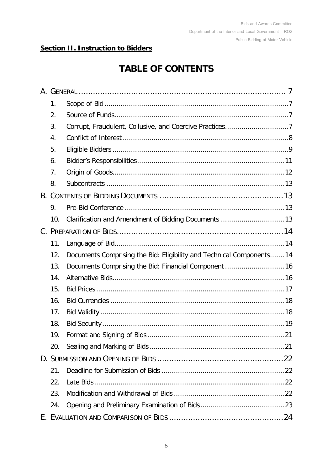## **Section II. Instruction to Bidders**

# **TABLE OF CONTENTS**

| 1.  |                                                                       |  |  |
|-----|-----------------------------------------------------------------------|--|--|
| 2.  |                                                                       |  |  |
| 3.  |                                                                       |  |  |
| 4.  |                                                                       |  |  |
| 5.  |                                                                       |  |  |
| 6.  |                                                                       |  |  |
| 7.  |                                                                       |  |  |
| 8.  |                                                                       |  |  |
|     |                                                                       |  |  |
| 9.  |                                                                       |  |  |
| 10. |                                                                       |  |  |
|     |                                                                       |  |  |
| 11. |                                                                       |  |  |
| 12. | Documents Comprising the Bid: Eligibility and Technical Components 14 |  |  |
| 13. | Documents Comprising the Bid: Financial Component  16                 |  |  |
| 14. |                                                                       |  |  |
| 15. |                                                                       |  |  |
| 16. |                                                                       |  |  |
| 17. |                                                                       |  |  |
| 18. |                                                                       |  |  |
| 19. |                                                                       |  |  |
| 20. |                                                                       |  |  |
|     |                                                                       |  |  |
| 21. |                                                                       |  |  |
| 22. |                                                                       |  |  |
| 23. |                                                                       |  |  |
| 24. |                                                                       |  |  |
|     |                                                                       |  |  |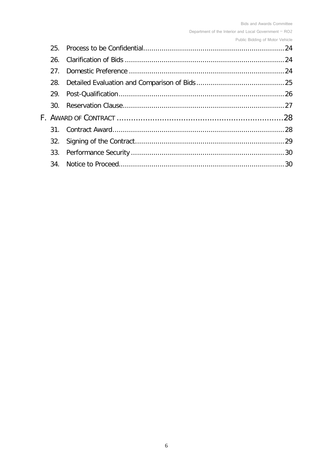Department of the Interior and Local Government - RO2

Public Bidding of Motor Vehicle

| 25.             |  |  |
|-----------------|--|--|
| 26.             |  |  |
| 27 <sub>1</sub> |  |  |
| 28.             |  |  |
| 29.             |  |  |
| .30.            |  |  |
|                 |  |  |
| 31 <sub>1</sub> |  |  |
|                 |  |  |
|                 |  |  |
|                 |  |  |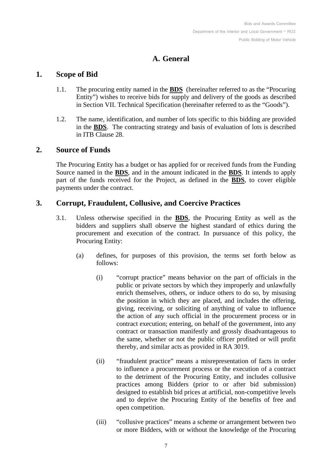## **A. General**

## <span id="page-6-5"></span><span id="page-6-1"></span><span id="page-6-0"></span>**1. Scope of Bid**

- 1.1. The procuring entity named in the **[BDS](#page-30-0)** (hereinafter referred to as the "Procuring Entity") wishes to receive bids for supply and delivery of the goods as described in Section VII. [Technical Specification](#page-52-0) (hereinafter referred to as the "Goods").
- <span id="page-6-6"></span>1.2. The name, identification, and number of lots specific to this bidding are provided in the **[BDS](#page-30-1)**. The contracting strategy and basis of evaluation of lots is described in ITB Clause [28.](#page-24-0)

## <span id="page-6-2"></span>**2. Source of Funds**

The Procuring Entity has a budget or has applied for or received funds from the Funding Source named in the **[BDS](#page-30-2)**, and in the amount indicated in the **[BDS](#page-30-2)**. It intends to apply part of the funds received for the Project, as defined in the **[BDS](#page-30-2)**, to cover eligible payments under the contract.

## <span id="page-6-3"></span>**3. Corrupt, Fraudulent, Collusive, and Coercive Practices**

- <span id="page-6-7"></span><span id="page-6-4"></span>3.1. Unless otherwise specified in the **BDS**, the Procuring Entity as well as the bidders and suppliers shall observe the highest standard of ethics during the procurement and execution of the contract. In pursuance of this policy, the Procuring Entity:
	- (a) defines, for purposes of this provision, the terms set forth below as follows:
		- (i) "corrupt practice" means behavior on the part of officials in the public or private sectors by which they improperly and unlawfully enrich themselves, others, or induce others to do so, by misusing the position in which they are placed, and includes the offering, giving, receiving, or soliciting of anything of value to influence the action of any such official in the procurement process or in contract execution; entering, on behalf of the government, into any contract or transaction manifestly and grossly disadvantageous to the same, whether or not the public officer profited or will profit thereby, and similar acts as provided in RA 3019.
		- (ii) "fraudulent practice" means a misrepresentation of facts in order to influence a procurement process or the execution of a contract to the detriment of the Procuring Entity, and includes collusive practices among Bidders (prior to or after bid submission) designed to establish bid prices at artificial, non-competitive levels and to deprive the Procuring Entity of the benefits of free and open competition.
		- (iii) "collusive practices" means a scheme or arrangement between two or more Bidders, with or without the knowledge of the Procuring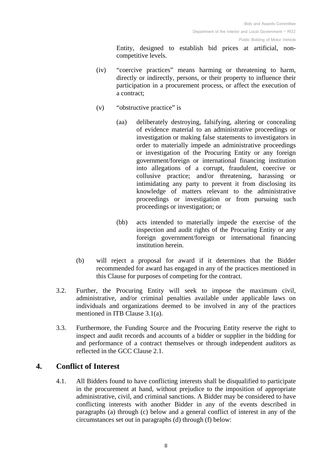Entity, designed to establish bid prices at artificial, noncompetitive levels.

- (iv) "coercive practices" means harming or threatening to harm, directly or indirectly, persons, or their property to influence their participation in a procurement process, or affect the execution of a contract;
- (v) "obstructive practice" is
	- (aa) deliberately destroying, falsifying, altering or concealing of evidence material to an administrative proceedings or investigation or making false statements to investigators in order to materially impede an administrative proceedings or investigation of the Procuring Entity or any foreign government/foreign or international financing institution into allegations of a corrupt, fraudulent, coercive or collusive practice; and/or threatening, harassing or intimidating any party to prevent it from disclosing its knowledge of matters relevant to the administrative proceedings or investigation or from pursuing such proceedings or investigation; or
	- (bb) acts intended to materially impede the exercise of the inspection and audit rights of the Procuring Entity or any foreign government/foreign or international financing institution herein.
- (b) will reject a proposal for award if it determines that the Bidder recommended for award has engaged in any of the practices mentioned in this Clause for purposes of competing for the contract.
- 3.2. Further, the Procuring Entity will seek to impose the maximum civil, administrative, and/or criminal penalties available under applicable laws on individuals and organizations deemed to be involved in any of the practices mentioned in ITB Clause [3.1\(a\).](#page-6-4)
- 3.3. Furthermore, the Funding Source and the Procuring Entity reserve the right to inspect and audit records and accounts of a bidder or supplier in the bidding for and performance of a contract themselves or through independent auditors as reflected in the GCC Clause [2.1.](#page-36-0)

## <span id="page-7-0"></span>**4. Conflict of Interest**

4.1. All Bidders found to have conflicting interests shall be disqualified to participate in the procurement at hand, without prejudice to the imposition of appropriate administrative, civil, and criminal sanctions. A Bidder may be considered to have conflicting interests with another Bidder in any of the events described in paragraphs (a) through (c) below and a general conflict of interest in any of the circumstances set out in paragraphs (d) through (f) below: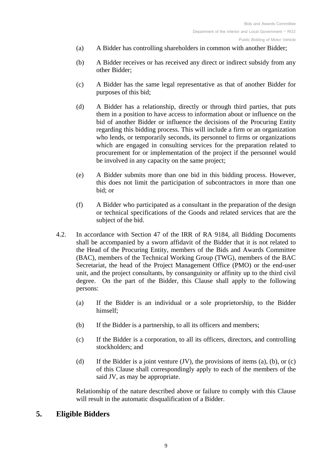- (a) A Bidder has controlling shareholders in common with another Bidder;
- (b) A Bidder receives or has received any direct or indirect subsidy from any other Bidder;
- (c) A Bidder has the same legal representative as that of another Bidder for purposes of this bid;
- (d) A Bidder has a relationship, directly or through third parties, that puts them in a position to have access to information about or influence on the bid of another Bidder or influence the decisions of the Procuring Entity regarding this bidding process. This will include a firm or an organization who lends, or temporarily seconds, its personnel to firms or organizations which are engaged in consulting services for the preparation related to procurement for or implementation of the project if the personnel would be involved in any capacity on the same project;
- (e) A Bidder submits more than one bid in this bidding process. However, this does not limit the participation of subcontractors in more than one bid; or
- (f) A Bidder who participated as a consultant in the preparation of the design or technical specifications of the Goods and related services that are the subject of the bid.
- 4.2. In accordance with Section 47 of the IRR of RA 9184, all Bidding Documents shall be accompanied by a sworn affidavit of the Bidder that it is not related to the Head of the Procuring Entity, members of the Bids and Awards Committee (BAC), members of the Technical Working Group (TWG), members of the BAC Secretariat, the head of the Project Management Office (PMO) or the end-user unit, and the project consultants, by consanguinity or affinity up to the third civil degree. On the part of the Bidder, this Clause shall apply to the following persons:
	- (a) If the Bidder is an individual or a sole proprietorship, to the Bidder himself;
	- (b) If the Bidder is a partnership, to all its officers and members;
	- (c) If the Bidder is a corporation, to all its officers, directors, and controlling stockholders; and
	- (d) If the Bidder is a joint venture  $(V)$ , the provisions of items (a), (b), or (c) of this Clause shall correspondingly apply to each of the members of the said JV, as may be appropriate.

Relationship of the nature described above or failure to comply with this Clause will result in the automatic disqualification of a Bidder.

## <span id="page-8-0"></span>**5. Eligible Bidders**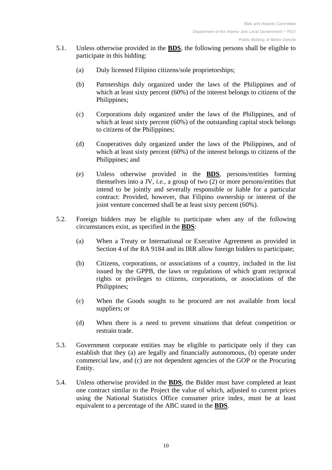- <span id="page-9-0"></span>5.1. Unless otherwise provided in the **[BDS](#page-30-3)**, the following persons shall be eligible to participate in this bidding:
	- (a) Duly licensed Filipino citizens/sole proprietorships;
	- (b) Partnerships duly organized under the laws of the Philippines and of which at least sixty percent (60%) of the interest belongs to citizens of the Philippines;
	- (c) Corporations duly organized under the laws of the Philippines, and of which at least sixty percent (60%) of the outstanding capital stock belongs to citizens of the Philippines;
	- (d) Cooperatives duly organized under the laws of the Philippines, and of which at least sixty percent (60%) of the interest belongs to citizens of the Philippines; and
	- (e) Unless otherwise provided in the **[BDS](#page-30-3)**, persons/entities forming themselves into a JV, *i.e.*, a group of two (2) or more persons/entities that intend to be jointly and severally responsible or liable for a particular contract: Provided, however, that Filipino ownership or interest of the joint venture concerned shall be at least sixty percent (60%).
- <span id="page-9-2"></span><span id="page-9-1"></span>5.2. Foreign bidders may be eligible to participate when any of the following circumstances exist, as specified in the **[BDS](#page-30-4)**:
	- (a) When a Treaty or International or Executive Agreement as provided in Section 4 of the RA 9184 and its IRR allow foreign bidders to participate;
	- (b) Citizens, corporations, or associations of a country, included in the list issued by the GPPB, the laws or regulations of which grant reciprocal rights or privileges to citizens, corporations, or associations of the Philippines;
	- (c) When the Goods sought to be procured are not available from local suppliers; or
	- (d) When there is a need to prevent situations that defeat competition or restrain trade.
- 5.3. Government corporate entities may be eligible to participate only if they can establish that they (a) are legally and financially autonomous, (b) operate under commercial law, and (c) are not dependent agencies of the GOP or the Procuring Entity.
- <span id="page-9-3"></span>5.4. Unless otherwise provided in the **[BDS](#page-30-5)**, the Bidder must have completed at least one contract similar to the Project the value of which, adjusted to current prices using the National Statistics Office consumer price index, must be at least equivalent to a percentage of the ABC stated in the **[BDS](#page-30-5)**.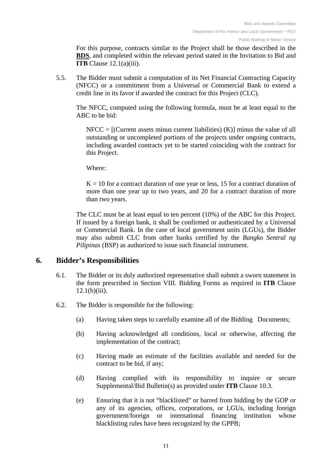For this purpose, contracts similar to the Project shall be those described in the **[BDS](#page-30-5)**, and completed within the relevant period stated in the Invitation to Bid and **ITB** Clause [12.1\(a\)\(iii\).](#page-14-0)

<span id="page-10-1"></span>5.5. The Bidder must submit a computation of its Net Financial Contracting Capacity (NFCC) or a commitment from a Universal or Commercial Bank to extend a credit line in its favor if awarded the contract for this Project (CLC).

The NFCC, computed using the following formula, must be at least equal to the ABC to be bid:

 $NFCC = [(Current assets minus current liabilities) (K)] minus the value of all$ outstanding or uncompleted portions of the projects under ongoing contracts, including awarded contracts yet to be started coinciding with the contract for this Project.

Where:

 $K = 10$  for a contract duration of one year or less, 15 for a contract duration of more than one year up to two years, and 20 for a contract duration of more than two years.

The CLC must be at least equal to ten percent (10%) of the ABC for this Project. If issued by a foreign bank, it shall be confirmed or authenticated by a Universal or Commercial Bank. In the case of local government units (LGUs), the Bidder may also submit CLC from other banks certified by the *Bangko Sentral ng Pilipinas* (BSP) as authorized to issue such financial instrument.

#### <span id="page-10-0"></span>**6. Bidder's Responsibilities**

- 6.1. The Bidder or its duly authorized representative shall submit a sworn statement in the form prescribed in Section VIII. [Bidding Forms](#page-53-0) as required in **ITB** Clause  $12.1(b)(iii)$ .
- 6.2. The Bidder is responsible for the following:
	- (a) Having taken steps to carefully examine all of the Bidding Documents;
	- (b) Having acknowledged all conditions, local or otherwise, affecting the implementation of the contract;
	- (c) Having made an estimate of the facilities available and needed for the contract to be bid, if any;
	- (d) Having complied with its responsibility to inquire or secure Supplemental/Bid Bulletin(s) as provided under **ITB** Clause [10.3.](#page-13-3)
	- (e) Ensuring that it is not "blacklisted" or barred from bidding by the GOP or any of its agencies, offices, corporations, or LGUs, including foreign government/foreign or international financing institution whose blacklisting rules have been recognized by the GPPB;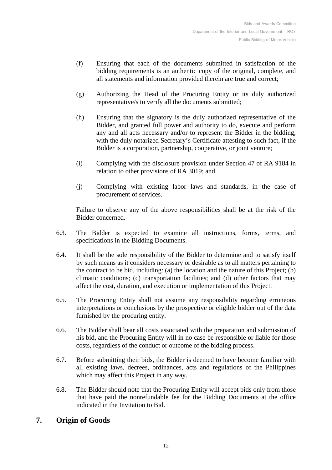- (f) Ensuring that each of the documents submitted in satisfaction of the bidding requirements is an authentic copy of the original, complete, and all statements and information provided therein are true and correct;
- (g) Authorizing the Head of the Procuring Entity or its duly authorized representative/s to verify all the documents submitted;
- (h) Ensuring that the signatory is the duly authorized representative of the Bidder, and granted full power and authority to do, execute and perform any and all acts necessary and/or to represent the Bidder in the bidding, with the duly notarized Secretary's Certificate attesting to such fact, if the Bidder is a corporation, partnership, cooperative, or joint venture;
- (i) Complying with the disclosure provision under Section 47 of RA 9184 in relation to other provisions of RA 3019; and
- (j) Complying with existing labor laws and standards, in the case of procurement of services.

Failure to observe any of the above responsibilities shall be at the risk of the Bidder concerned.

- 6.3. The Bidder is expected to examine all instructions, forms, terms, and specifications in the Bidding Documents.
- 6.4. It shall be the sole responsibility of the Bidder to determine and to satisfy itself by such means as it considers necessary or desirable as to all matters pertaining to the contract to be bid, including: (a) the location and the nature of this Project; (b) climatic conditions; (c) transportation facilities; and (d) other factors that may affect the cost, duration, and execution or implementation of this Project.
- 6.5. The Procuring Entity shall not assume any responsibility regarding erroneous interpretations or conclusions by the prospective or eligible bidder out of the data furnished by the procuring entity.
- 6.6. The Bidder shall bear all costs associated with the preparation and submission of his bid, and the Procuring Entity will in no case be responsible or liable for those costs, regardless of the conduct or outcome of the bidding process.
- 6.7. Before submitting their bids, the Bidder is deemed to have become familiar with all existing laws, decrees, ordinances, acts and regulations of the Philippines which may affect this Project in any way.
- 6.8. The Bidder should note that the Procuring Entity will accept bids only from those that have paid the nonrefundable fee for the Bidding Documents at the office indicated in the Invitation to Bid.

## <span id="page-11-0"></span>**7. Origin of Goods**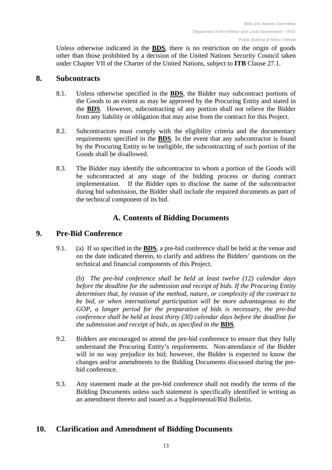Unless otherwise indicated in the **[BDS](#page-30-6)**, there is no restriction on the origin of goods other than those prohibited by a decision of the United Nations Security Council taken under Chapter VII of the Charter of the United Nations, subject to **ITB** Clause [27.1.](#page-23-4)

#### <span id="page-12-4"></span><span id="page-12-0"></span>**8. Subcontracts**

- 8.1. Unless otherwise specified in the **[BDS](#page-30-7)**, the Bidder may subcontract portions of the Goods to an extent as may be approved by the Procuring Entity and stated in the **[BDS](#page-30-7)**. However, subcontracting of any portion shall not relieve the Bidder from any liability or obligation that may arise from the contract for this Project.
- <span id="page-12-5"></span>8.2. Subcontractors must comply with the eligibility criteria and the documentary requirements specified in the **[BDS](#page-31-0)**. In the event that any subcontractor is found by the Procuring Entity to be ineligible, the subcontracting of such portion of the Goods shall be disallowed.
- 8.3. The Bidder may identify the subcontractor to whom a portion of the Goods will be subcontracted at any stage of the bidding process or during contract implementation. If the Bidder opts to disclose the name of the subcontractor during bid submission, the Bidder shall include the required documents as part of the technical component of its bid.

## **A. Contents of Bidding Documents**

## <span id="page-12-6"></span><span id="page-12-2"></span><span id="page-12-1"></span>**9. Pre-Bid Conference**

9.1. (a) If so specified in the **[BDS](#page-31-1)**, a pre-bid conference shall be held at the venue and on the date indicated therein, to clarify and address the Bidders' questions on the technical and financial components of this Project.

(b) *The pre-bid conference shall be held at least twelve (12) calendar days before the deadline for the submission and receipt of bids. If the Procuring Entity determines that, by reason of the method, nature, or complexity of the contract to be bid, or when international participation will be more advantageous to the GOP, a longer period for the preparation of bids is necessary, the pre-bid conference shall be held at least thirty (30) calendar days before the deadline for the submission and receipt of bids, as specified in the [BDS](#page-31-1).* 

- 9.2. Bidders are encouraged to attend the pre-bid conference to ensure that they fully understand the Procuring Entity's requirements. Non-attendance of the Bidder will in no way prejudice its bid; however, the Bidder is expected to know the changes and/or amendments to the Bidding Documents discussed during the prebid conference.
- 9.3. Any statement made at the pre-bid conference shall not modify the terms of the Bidding Documents unless such statement is specifically identified in writing as an amendment thereto and issued as a Supplemental/Bid Bulletin.

## <span id="page-12-3"></span>**10. Clarification and Amendment of Bidding Documents**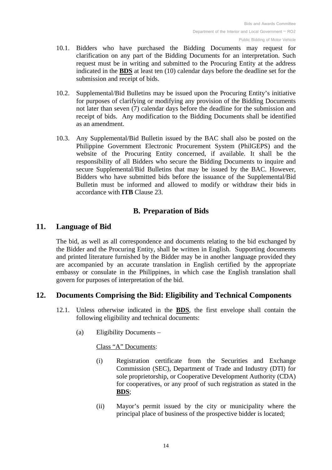- <span id="page-13-8"></span>10.1. Bidders who have purchased the Bidding Documents may request for clarification on any part of the Bidding Documents for an interpretation. Such request must be in writing and submitted to the Procuring Entity at the address indicated in the **[BDS](#page-31-2)** at least ten (10) calendar days before the deadline set for the submission and receipt of bids.
- 10.2. Supplemental/Bid Bulletins may be issued upon the Procuring Entity's initiative for purposes of clarifying or modifying any provision of the Bidding Documents not later than seven (7) calendar days before the deadline for the submission and receipt of bids. Any modification to the Bidding Documents shall be identified as an amendment.
- <span id="page-13-3"></span>10.3. Any Supplemental/Bid Bulletin issued by the BAC shall also be posted on the Philippine Government Electronic Procurement System (PhilGEPS) and the website of the Procuring Entity concerned, if available. It shall be the responsibility of all Bidders who secure the Bidding Documents to inquire and secure Supplemental/Bid Bulletins that may be issued by the BAC. However, Bidders who have submitted bids before the issuance of the Supplemental/Bid Bulletin must be informed and allowed to modify or withdraw their bids in accordance with **ITB** Clause [23.](#page-21-3)

## **B. Preparation of Bids**

## <span id="page-13-1"></span><span id="page-13-0"></span>**11. Language of Bid**

The bid, as well as all correspondence and documents relating to the bid exchanged by the Bidder and the Procuring Entity, shall be written in English. Supporting documents and printed literature furnished by the Bidder may be in another language provided they are accompanied by an accurate translation in English certified by the appropriate embassy or consulate in the Philippines, in which case the English translation shall govern for purposes of interpretation of the bid.

## <span id="page-13-4"></span><span id="page-13-2"></span>**12. Documents Comprising the Bid: Eligibility and Technical Components**

- <span id="page-13-6"></span><span id="page-13-5"></span>12.1. Unless otherwise indicated in the **[BDS](#page-31-3)**, the first envelope shall contain the following eligibility and technical documents:
	- (a) Eligibility Documents –

Class "A" Documents:

- (i) Registration certificate from the Securities and Exchange Commission (SEC), Department of Trade and Industry (DTI) for sole proprietorship, or Cooperative Development Authority (CDA) for cooperatives, or any proof of such registration as stated in the **[BDS](#page-31-3)**;
- <span id="page-13-7"></span>(ii) Mayor's permit issued by the city or municipality where the principal place of business of the prospective bidder is located;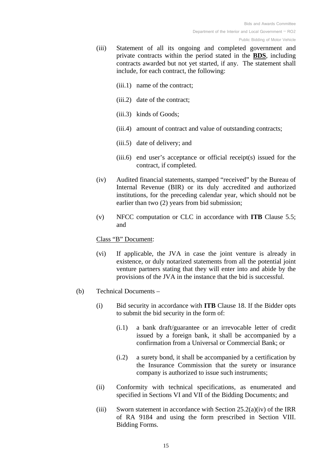- <span id="page-14-0"></span>(iii) Statement of all its ongoing and completed government and private contracts within the period stated in the **[BDS](#page-31-4)**, including contracts awarded but not yet started, if any. The statement shall include, for each contract, the following:
	- (iii.1) name of the contract;
	- (iii.2) date of the contract;
	- (iii.3) kinds of Goods;
	- (iii.4) amount of contract and value of outstanding contracts;
	- (iii.5) date of delivery; and
	- (iii.6) end user's acceptance or official receipt(s) issued for the contract, if completed.
- (iv) Audited financial statements, stamped "received" by the Bureau of Internal Revenue (BIR) or its duly accredited and authorized institutions, for the preceding calendar year, which should not be earlier than two (2) years from bid submission;
- <span id="page-14-2"></span>(v) NFCC computation or CLC in accordance with **ITB** Clause [5.5;](#page-10-1) and

#### Class "B" Document:

- (vi) If applicable, the JVA in case the joint venture is already in existence, or duly notarized statements from all the potential joint venture partners stating that they will enter into and abide by the provisions of the JVA in the instance that the bid is successful.
- <span id="page-14-1"></span>(b) Technical Documents –
	- (i) Bid security in accordance with **ITB** Clause [18.](#page-18-0) If the Bidder opts to submit the bid security in the form of:
		- (i.1) a bank draft/guarantee or an irrevocable letter of credit issued by a foreign bank, it shall be accompanied by a confirmation from a Universal or Commercial Bank; or
		- (i.2) a surety bond, it shall be accompanied by a certification by the Insurance Commission that the surety or insurance company is authorized to issue such instruments;
	- (ii) Conformity with technical specifications, as enumerated and specified in Sections VI and VII of the Bidding Documents; and
	- (iii) Sworn statement in accordance with Section  $25.2(a)(iv)$  of the IRR of RA 9184 and using the form prescribed in [Section VIII.](#page-53-0) [Bidding Forms.](#page-53-0)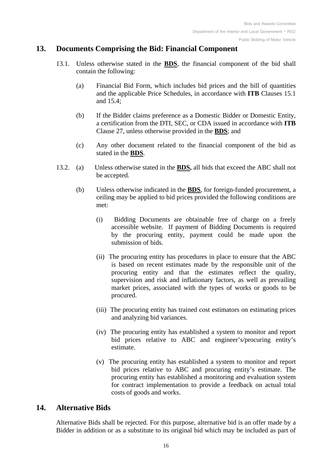## <span id="page-15-3"></span><span id="page-15-0"></span>**13. Documents Comprising the Bid: Financial Component**

- 13.1. Unless otherwise stated in the **[BDS](#page-31-5)**, the financial component of the bid shall contain the following:
	- (a) Financial Bid Form, which includes bid prices and the bill of quantities and the applicable Price Schedules, in accordance with **ITB** Clauses [15.1](#page-16-1) and [15.4;](#page-16-2)
	- (b) If the Bidder claims preference as a Domestic Bidder or Domestic Entity, a certification from the DTI, SEC, or CDA issued in accordance with **ITB** Clause [27,](#page-23-3) unless otherwise provided in the **BDS**; and
	- (c) Any other document related to the financial component of the bid as stated in the **[BDS](#page-31-5)**.
- <span id="page-15-2"></span>13.2. (a) Unless otherwise stated in the **[BDS,](#page-31-6)** all bids that exceed the ABC shall not be accepted.
	- (b) Unless otherwise indicated in the **[BDS](#page-31-6)**, for foreign-funded procurement, a ceiling may be applied to bid prices provided the following conditions are met:
		- (i) Bidding Documents are obtainable free of charge on a freely accessible website. If payment of Bidding Documents is required by the procuring entity, payment could be made upon the submission of bids.
		- (ii) The procuring entity has procedures in place to ensure that the ABC is based on recent estimates made by the responsible unit of the procuring entity and that the estimates reflect the quality, supervision and risk and inflationary factors, as well as prevailing market prices, associated with the types of works or goods to be procured.
		- (iii) The procuring entity has trained cost estimators on estimating prices and analyzing bid variances.
		- (iv) The procuring entity has established a system to monitor and report bid prices relative to ABC and engineer's/procuring entity's estimate.
		- (v) The procuring entity has established a system to monitor and report bid prices relative to ABC and procuring entity's estimate. The procuring entity has established a monitoring and evaluation system for contract implementation to provide a feedback on actual total costs of goods and works.

## <span id="page-15-1"></span>**14. Alternative Bids**

Alternative Bids shall be rejected. For this purpose, alternative bid is an offer made by a Bidder in addition or as a substitute to its original bid which may be included as part of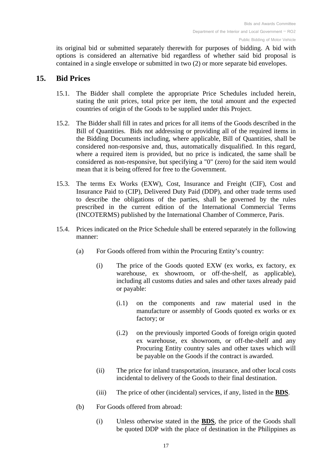its original bid or submitted separately therewith for purposes of bidding. A bid with options is considered an alternative bid regardless of whether said bid proposal is contained in a single envelope or submitted in two (2) or more separate bid envelopes.

## <span id="page-16-1"></span><span id="page-16-0"></span>**15. Bid Prices**

- 15.1. The Bidder shall complete the appropriate Price Schedules included herein, stating the unit prices, total price per item, the total amount and the expected countries of origin of the Goods to be supplied under this Project.
- 15.2. The Bidder shall fill in rates and prices for all items of the Goods described in the Bill of Quantities. Bids not addressing or providing all of the required items in the Bidding Documents including, where applicable, Bill of Quantities, shall be considered non-responsive and, thus, automatically disqualified. In this regard, where a required item is provided, but no price is indicated, the same shall be considered as non-responsive, but specifying a "0" (zero) for the said item would mean that it is being offered for free to the Government.
- 15.3. The terms Ex Works (EXW), Cost, Insurance and Freight (CIF), Cost and Insurance Paid to (CIP), Delivered Duty Paid (DDP), and other trade terms used to describe the obligations of the parties, shall be governed by the rules prescribed in the current edition of the International Commercial Terms (INCOTERMS) published by the International Chamber of Commerce, Paris.
- <span id="page-16-2"></span>15.4. Prices indicated on the Price Schedule shall be entered separately in the following manner:
	- (a) For Goods offered from within the Procuring Entity's country:
		- (i) The price of the Goods quoted EXW (ex works, ex factory, ex warehouse, ex showroom, or off-the-shelf, as applicable), including all customs duties and sales and other taxes already paid or payable:
			- (i.1) on the components and raw material used in the manufacture or assembly of Goods quoted ex works or ex factory; or
			- (i.2) on the previously imported Goods of foreign origin quoted ex warehouse, ex showroom, or off-the-shelf and any Procuring Entity country sales and other taxes which will be payable on the Goods if the contract is awarded.
		- (ii) The price for inland transportation, insurance, and other local costs incidental to delivery of the Goods to their final destination.
		- (iii) The price of other (incidental) services, if any, listed in the **[BDS](#page-31-7)**.
	- (b) For Goods offered from abroad:
		- (i) Unless otherwise stated in the **[BDS](#page-31-7)**, the price of the Goods shall be quoted DDP with the place of destination in the Philippines as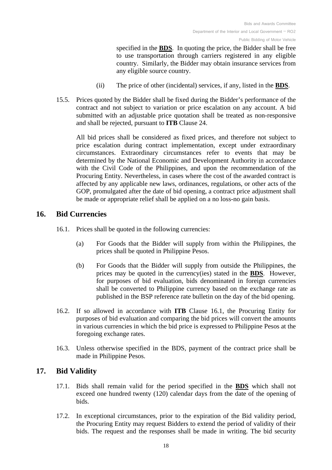specified in the **[BDS](#page-31-7)**. In quoting the price, the Bidder shall be free to use transportation through carriers registered in any eligible country. Similarly, the Bidder may obtain insurance services from any eligible source country.

- (ii) The price of other (incidental) services, if any, listed in the **[BDS](#page-31-7)**.
- <span id="page-17-3"></span>15.5. Prices quoted by the Bidder shall be fixed during the Bidder's performance of the contract and not subject to variation or price escalation on any account. A bid submitted with an adjustable price quotation shall be treated as non-responsive and shall be rejected, pursuant to **ITB** Clause [24.](#page-22-0)

<span id="page-17-4"></span>All bid prices shall be considered as fixed prices, and therefore not subject to price escalation during contract implementation, except under extraordinary circumstances. Extraordinary circumstances refer to events that may be determined by the National Economic and Development Authority in accordance with the Civil Code of the Philippines, and upon the recommendation of the Procuring Entity. Nevertheless, in cases where the cost of the awarded contract is affected by any applicable new laws, ordinances, regulations, or other acts of the GOP, promulgated after the date of bid opening, a contract price adjustment shall be made or appropriate relief shall be applied on a no loss-no gain basis.

## <span id="page-17-2"></span><span id="page-17-0"></span>**16. Bid Currencies**

- <span id="page-17-5"></span>16.1. Prices shall be quoted in the following currencies:
	- (a) For Goods that the Bidder will supply from within the Philippines, the prices shall be quoted in Philippine Pesos.
	- (b) For Goods that the Bidder will supply from outside the Philippines, the prices may be quoted in the currency(ies) stated in the **[BDS](#page-31-8)**. However, for purposes of bid evaluation, bids denominated in foreign currencies shall be converted to Philippine currency based on the exchange rate as published in the BSP reference rate bulletin on the day of the bid opening.
- 16.2. If so allowed in accordance with **ITB** Clause [16.1,](#page-17-2) the Procuring Entity for purposes of bid evaluation and comparing the bid prices will convert the amounts in various currencies in which the bid price is expressed to Philippine Pesos at the foregoing exchange rates.
- <span id="page-17-6"></span>16.3. Unless otherwise specified in the BDS, payment of the contract price shall be made in Philippine Pesos.

## <span id="page-17-7"></span><span id="page-17-1"></span>**17. Bid Validity**

- 17.1. Bids shall remain valid for the period specified in the **[BDS](#page-31-9)** which shall not exceed one hundred twenty (120) calendar days from the date of the opening of bids.
- 17.2. In exceptional circumstances, prior to the expiration of the Bid validity period, the Procuring Entity may request Bidders to extend the period of validity of their bids. The request and the responses shall be made in writing. The bid security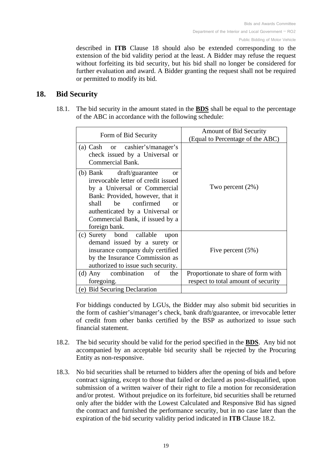described in **ITB** Clause 18 should also be extended corresponding to the extension of the bid validity period at the least. A Bidder may refuse the request without forfeiting its bid security, but his bid shall no longer be considered for further evaluation and award. A Bidder granting the request shall not be required or permitted to modify its bid.

## <span id="page-18-2"></span><span id="page-18-0"></span>**18. Bid Security**

18.1. The bid security in the amount stated in the **[BDS](#page-31-10)** shall be equal to the percentage of the ABC in accordance with the following schedule:

| Form of Bid Security                                                                                                                                                                                                                                                             | Amount of Bid Security<br>(Equal to Percentage of the ABC)                 |
|----------------------------------------------------------------------------------------------------------------------------------------------------------------------------------------------------------------------------------------------------------------------------------|----------------------------------------------------------------------------|
| (a) Cash or cashier's/manager's<br>check issued by a Universal or<br>Commercial Bank.                                                                                                                                                                                            |                                                                            |
| (b) Bank draft/guarantee<br>$\alpha$<br>irrevocable letter of credit issued<br>by a Universal or Commercial<br>Bank: Provided, however, that it<br>be<br>confirmed<br>shall<br>$\alpha$ r<br>authenticated by a Universal or<br>Commercial Bank, if issued by a<br>foreign bank. | Two percent $(2\%)$                                                        |
| (c) Surety bond callable<br>upon<br>demand issued by a surety or<br>insurance company duly certified<br>by the Insurance Commission as<br>authorized to issue such security.                                                                                                     | Five percent $(5\%)$                                                       |
| (d) Any combination<br>of<br>the<br>foregoing.                                                                                                                                                                                                                                   | Proportionate to share of form with<br>respect to total amount of security |
| (e) Bid Securing Declaration                                                                                                                                                                                                                                                     |                                                                            |

For biddings conducted by LGUs, the Bidder may also submit bid securities in the form of cashier's/manager's check, bank draft/guarantee, or irrevocable letter of credit from other banks certified by the BSP as authorized to issue such financial statement.

- <span id="page-18-1"></span>18.2. The bid security should be valid for the period specified in the **[BDS](#page-32-0)**. Any bid not accompanied by an acceptable bid security shall be rejected by the Procuring Entity as non-responsive.
- 18.3. No bid securities shall be returned to bidders after the opening of bids and before contract signing, except to those that failed or declared as post-disqualified, upon submission of a written waiver of their right to file a motion for reconsideration and/or protest. Without prejudice on its forfeiture, bid securities shall be returned only after the bidder with the Lowest Calculated and Responsive Bid has signed the contract and furnished the performance security, but in no case later than the expiration of the bid security validity period indicated in **ITB** Clause [18.2.](#page-18-1)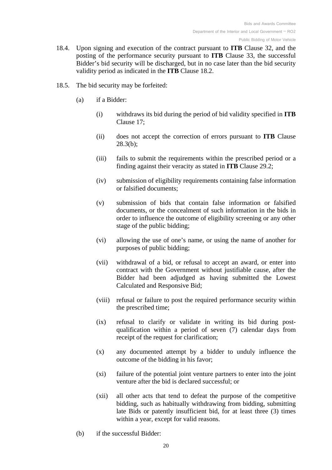- 18.4. Upon signing and execution of the contract pursuant to **ITB** Clause [32,](#page-28-0) and the posting of the performance security pursuant to **ITB** Clause [33,](#page-29-0) the successful Bidder's bid security will be discharged, but in no case later than the bid security validity period as indicated in the **ITB** Clause [18.2.](#page-18-1)
- <span id="page-19-0"></span>18.5. The bid security may be forfeited:
	- (a) if a Bidder:
		- (i) withdraws its bid during the period of bid validity specified in **ITB** Clause [17;](#page-17-1)
		- (ii) does not accept the correction of errors pursuant to **ITB** Clause [28.3\(b\);](#page-25-1)
		- (iii) fails to submit the requirements within the prescribed period or a finding against their veracity as stated in **ITB** Clause [29.2;](#page-25-2)
		- (iv) submission of eligibility requirements containing false information or falsified documents;
		- (v) submission of bids that contain false information or falsified documents, or the concealment of such information in the bids in order to influence the outcome of eligibility screening or any other stage of the public bidding;
		- (vi) allowing the use of one's name, or using the name of another for purposes of public bidding;
		- (vii) withdrawal of a bid, or refusal to accept an award, or enter into contract with the Government without justifiable cause, after the Bidder had been adjudged as having submitted the Lowest Calculated and Responsive Bid;
		- (viii) refusal or failure to post the required performance security within the prescribed time;
		- (ix) refusal to clarify or validate in writing its bid during postqualification within a period of seven (7) calendar days from receipt of the request for clarification;
		- (x) any documented attempt by a bidder to unduly influence the outcome of the bidding in his favor;
		- (xi) failure of the potential joint venture partners to enter into the joint venture after the bid is declared successful; or
		- (xii) all other acts that tend to defeat the purpose of the competitive bidding, such as habitually withdrawing from bidding, submitting late Bids or patently insufficient bid, for at least three (3) times within a year, except for valid reasons.
	- (b) if the successful Bidder: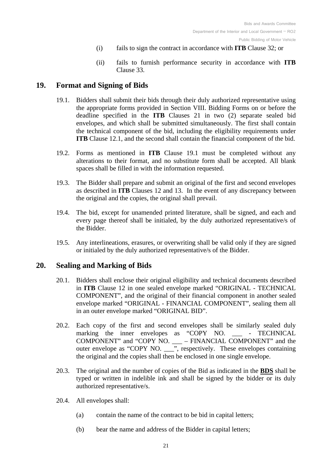- (i) fails to sign the contract in accordance with **ITB** Clause [32;](#page-28-0) or
- (ii) fails to furnish performance security in accordance with **ITB** Clause [33.](#page-29-0)

## <span id="page-20-2"></span><span id="page-20-0"></span>**19. Format and Signing of Bids**

- 19.1. Bidders shall submit their bids through their duly authorized representative using the appropriate forms provided in Section VIII. [Bidding Forms](#page-53-0) on or before the deadline specified in the **ITB** Clauses [21](#page-21-1) in two (2) separate sealed bid envelopes, and which shall be submitted simultaneously. The first shall contain the technical component of the bid, including the eligibility requirements under **ITB** Clause [12.1,](#page-13-4) and the second shall contain the financial component of the bid.
- 19.2. Forms as mentioned in **ITB** Clause [19.1](#page-20-2) must be completed without any alterations to their format, and no substitute form shall be accepted. All blank spaces shall be filled in with the information requested.
- 19.3. The Bidder shall prepare and submit an original of the first and second envelopes as described in **ITB** Clauses [12](#page-13-2) and [13.](#page-15-0) In the event of any discrepancy between the original and the copies, the original shall prevail.
- 19.4. The bid, except for unamended printed literature, shall be signed, and each and every page thereof shall be initialed, by the duly authorized representative/s of the Bidder.
- 19.5. Any interlineations, erasures, or overwriting shall be valid only if they are signed or initialed by the duly authorized representative/s of the Bidder.

## <span id="page-20-1"></span>**20. Sealing and Marking of Bids**

- 20.1. Bidders shall enclose their original eligibility and technical documents described in **ITB** Clause [12](#page-13-2) in one sealed envelope marked "ORIGINAL - TECHNICAL COMPONENT", and the original of their financial component in another sealed envelope marked "ORIGINAL - FINANCIAL COMPONENT", sealing them all in an outer envelope marked "ORIGINAL BID".
- 20.2. Each copy of the first and second envelopes shall be similarly sealed duly marking the inner envelopes as "COPY NO. - TECHNICAL COMPONENT" and "COPY NO. \_\_\_ – FINANCIAL COMPONENT" and the outer envelope as "COPY NO. \_\_\_", respectively. These envelopes containing the original and the copies shall then be enclosed in one single envelope.
- <span id="page-20-3"></span>20.3. The original and the number of copies of the Bid as indicated in the **[BDS](#page-32-1)** shall be typed or written in indelible ink and shall be signed by the bidder or its duly authorized representative/s.
- 20.4. All envelopes shall:
	- (a) contain the name of the contract to be bid in capital letters;
	- (b) bear the name and address of the Bidder in capital letters;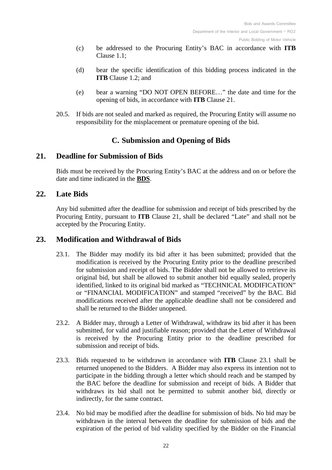- (c) be addressed to the Procuring Entity's BAC in accordance with **ITB** Clause [1.1;](#page-6-5)
- (d) bear the specific identification of this bidding process indicated in the **ITB** Clause [1.2;](#page-6-6) and
- (e) bear a warning "DO NOT OPEN BEFORE…" the date and time for the opening of bids, in accordance with **ITB** Clause [21.](#page-21-1)
- 20.5. If bids are not sealed and marked as required, the Procuring Entity will assume no responsibility for the misplacement or premature opening of the bid.

## **C. Submission and Opening of Bids**

## <span id="page-21-1"></span><span id="page-21-0"></span>**21. Deadline for Submission of Bids**

Bids must be received by the Procuring Entity's BAC at the address and on or before the date and time indicated in the **[BDS](#page-32-2)**.

## <span id="page-21-2"></span>**22. Late Bids**

Any bid submitted after the deadline for submission and receipt of bids prescribed by the Procuring Entity, pursuant to **ITB** Clause [21,](#page-21-1) shall be declared "Late" and shall not be accepted by the Procuring Entity.

## <span id="page-21-4"></span><span id="page-21-3"></span>**23. Modification and Withdrawal of Bids**

- 23.1. The Bidder may modify its bid after it has been submitted; provided that the modification is received by the Procuring Entity prior to the deadline prescribed for submission and receipt of bids. The Bidder shall not be allowed to retrieve its original bid, but shall be allowed to submit another bid equally sealed, properly identified, linked to its original bid marked as "TECHNICAL MODIFICATION" or "FINANCIAL MODIFICATION" and stamped "received" by the BAC. Bid modifications received after the applicable deadline shall not be considered and shall be returned to the Bidder unopened.
- 23.2. A Bidder may, through a Letter of Withdrawal, withdraw its bid after it has been submitted, for valid and justifiable reason; provided that the Letter of Withdrawal is received by the Procuring Entity prior to the deadline prescribed for submission and receipt of bids.
- 23.3. Bids requested to be withdrawn in accordance with **ITB** Clause [23.1](#page-21-4) shall be returned unopened to the Bidders. A Bidder may also express its intention not to participate in the bidding through a letter which should reach and be stamped by the BAC before the deadline for submission and receipt of bids. A Bidder that withdraws its bid shall not be permitted to submit another bid, directly or indirectly, for the same contract.
- 23.4. No bid may be modified after the deadline for submission of bids. No bid may be withdrawn in the interval between the deadline for submission of bids and the expiration of the period of bid validity specified by the Bidder on the Financial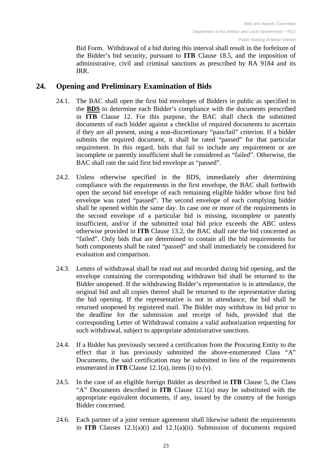Bid Form. Withdrawal of a bid during this interval shall result in the forfeiture of the Bidder's bid security, pursuant to **ITB** Clause [18.5,](#page-19-0) and the imposition of administrative, civil and criminal sanctions as prescribed by RA 9184 and its IRR.

## <span id="page-22-1"></span><span id="page-22-0"></span>**24. Opening and Preliminary Examination of Bids**

- 24.1. The BAC shall open the first bid envelopes of Bidders in public as specified in the **[BDS](#page-32-3)** to determine each Bidder's compliance with the documents prescribed in **ITB** Clause [12.](#page-13-2) For this purpose, the BAC shall check the submitted documents of each bidder against a checklist of required documents to ascertain if they are all present, using a non-discretionary "pass/fail" criterion. If a bidder submits the required document, it shall be rated "passed" for that particular requirement. In this regard, bids that fail to include any requirement or are incomplete or patently insufficient shall be considered as "failed". Otherwise, the BAC shall rate the said first bid envelope as "passed".
- 24.2. Unless otherwise specified in the BDS, immediately after determining compliance with the requirements in the first envelope, the BAC shall forthwith open the second bid envelope of each remaining eligible bidder whose first bid envelope was rated "passed". The second envelope of each complying bidder shall be opened within the same day. In case one or more of the requirements in the second envelope of a particular bid is missing, incomplete or patently insufficient, and/or if the submitted total bid price exceeds the ABC unless otherwise provided in **ITB** Clause [13.2,](#page-15-2) the BAC shall rate the bid concerned as "failed". Only bids that are determined to contain all the bid requirements for both components shall be rated "passed" and shall immediately be considered for evaluation and comparison.
- 24.3. Letters of withdrawal shall be read out and recorded during bid opening, and the envelope containing the corresponding withdrawn bid shall be returned to the Bidder unopened. If the withdrawing Bidder's representative is in attendance, the original bid and all copies thereof shall be returned to the representative during the bid opening. If the representative is not in attendance, the bid shall be returned unopened by registered mail. The Bidder may withdraw its bid prior to the deadline for the submission and receipt of bids, provided that the corresponding Letter of Withdrawal contains a valid authorization requesting for such withdrawal, subject to appropriate administrative sanctions.
- 24.4. If a Bidder has previously secured a certification from the Procuring Entity to the effect that it has previously submitted the above-enumerated Class "A" Documents, the said certification may be submitted in lieu of the requirements enumerated in **ITB** Clause [12.1\(a\),](#page-13-5) items (i) to (v).
- 24.5. In the case of an eligible foreign Bidder as described in **ITB** Clause [5,](#page-8-0) the Class "A" Documents described in **ITB** Clause [12.1\(a\)](#page-13-5) may be substituted with the appropriate equivalent documents, if any, issued by the country of the foreign Bidder concerned.
- 24.6. Each partner of a joint venture agreement shall likewise submit the requirements in **ITB** Clauses [12.1\(a\)\(i\)](#page-13-6) and [12.1\(a\)\(ii\).](#page-13-7) Submission of documents required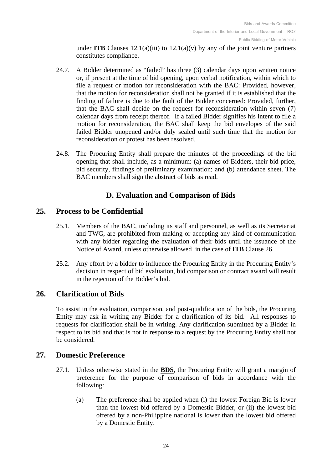under **ITB** Clauses  $12.1(a)(iii)$  to  $12.1(a)(v)$  by any of the joint venture partners constitutes compliance.

- 24.7. A Bidder determined as "failed" has three (3) calendar days upon written notice or, if present at the time of bid opening, upon verbal notification, within which to file a request or motion for reconsideration with the BAC: Provided, however, that the motion for reconsideration shall not be granted if it is established that the finding of failure is due to the fault of the Bidder concerned: Provided, further, that the BAC shall decide on the request for reconsideration within seven (7) calendar days from receipt thereof. If a failed Bidder signifies his intent to file a motion for reconsideration, the BAC shall keep the bid envelopes of the said failed Bidder unopened and/or duly sealed until such time that the motion for reconsideration or protest has been resolved.
- 24.8. The Procuring Entity shall prepare the minutes of the proceedings of the bid opening that shall include, as a minimum: (a) names of Bidders, their bid price, bid security, findings of preliminary examination; and (b) attendance sheet. The BAC members shall sign the abstract of bids as read.

## **D. Evaluation and Comparison of Bids**

## <span id="page-23-1"></span><span id="page-23-0"></span>**25. Process to be Confidential**

- 25.1. Members of the BAC, including its staff and personnel, as well as its Secretariat and TWG, are prohibited from making or accepting any kind of communication with any bidder regarding the evaluation of their bids until the issuance of the Notice of Award, unless otherwise allowed in the case of **ITB** Clause 26.
- 25.2. Any effort by a bidder to influence the Procuring Entity in the Procuring Entity's decision in respect of bid evaluation, bid comparison or contract award will result in the rejection of the Bidder's bid.

#### <span id="page-23-2"></span>**26. Clarification of Bids**

To assist in the evaluation, comparison, and post-qualification of the bids, the Procuring Entity may ask in writing any Bidder for a clarification of its bid. All responses to requests for clarification shall be in writing. Any clarification submitted by a Bidder in respect to its bid and that is not in response to a request by the Procuring Entity shall not be considered.

#### <span id="page-23-4"></span><span id="page-23-3"></span>**27. Domestic Preference**

- 27.1. Unless otherwise stated in the **[BDS](#page-32-4)**, the Procuring Entity will grant a margin of preference for the purpose of comparison of bids in accordance with the following:
	- (a) The preference shall be applied when (i) the lowest Foreign Bid is lower than the lowest bid offered by a Domestic Bidder, or (ii) the lowest bid offered by a non-Philippine national is lower than the lowest bid offered by a Domestic Entity.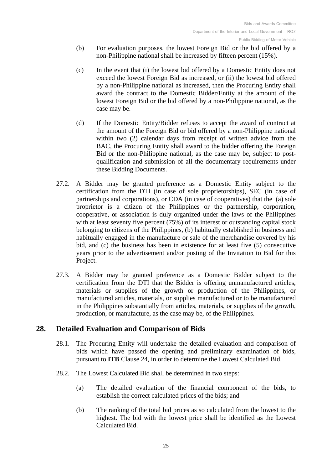- (b) For evaluation purposes, the lowest Foreign Bid or the bid offered by a non-Philippine national shall be increased by fifteen percent (15%).
- (c) In the event that (i) the lowest bid offered by a Domestic Entity does not exceed the lowest Foreign Bid as increased, or (ii) the lowest bid offered by a non-Philippine national as increased, then the Procuring Entity shall award the contract to the Domestic Bidder/Entity at the amount of the lowest Foreign Bid or the bid offered by a non-Philippine national, as the case may be.
- (d) If the Domestic Entity/Bidder refuses to accept the award of contract at the amount of the Foreign Bid or bid offered by a non-Philippine national within two (2) calendar days from receipt of written advice from the BAC, the Procuring Entity shall award to the bidder offering the Foreign Bid or the non-Philippine national, as the case may be, subject to postqualification and submission of all the documentary requirements under these Bidding Documents.
- 27.2. A Bidder may be granted preference as a Domestic Entity subject to the certification from the DTI (in case of sole proprietorships), SEC (in case of partnerships and corporations), or CDA (in case of cooperatives) that the (a) sole proprietor is a citizen of the Philippines or the partnership, corporation, cooperative, or association is duly organized under the laws of the Philippines with at least seventy five percent (75%) of its interest or outstanding capital stock belonging to citizens of the Philippines, (b) habitually established in business and habitually engaged in the manufacture or sale of the merchandise covered by his bid, and (c) the business has been in existence for at least five (5) consecutive years prior to the advertisement and/or posting of the Invitation to Bid for this Project.
- 27.3. A Bidder may be granted preference as a Domestic Bidder subject to the certification from the DTI that the Bidder is offering unmanufactured articles, materials or supplies of the growth or production of the Philippines, or manufactured articles, materials, or supplies manufactured or to be manufactured in the Philippines substantially from articles, materials, or supplies of the growth, production, or manufacture, as the case may be, of the Philippines.

## <span id="page-24-0"></span>**28. Detailed Evaluation and Comparison of Bids**

- 28.1. The Procuring Entity will undertake the detailed evaluation and comparison of bids which have passed the opening and preliminary examination of bids, pursuant to **ITB** Clause [24,](#page-22-0) in order to determine the Lowest Calculated Bid.
- 28.2. The Lowest Calculated Bid shall be determined in two steps:
	- (a) The detailed evaluation of the financial component of the bids, to establish the correct calculated prices of the bids; and
	- (b) The ranking of the total bid prices as so calculated from the lowest to the highest. The bid with the lowest price shall be identified as the Lowest Calculated Bid.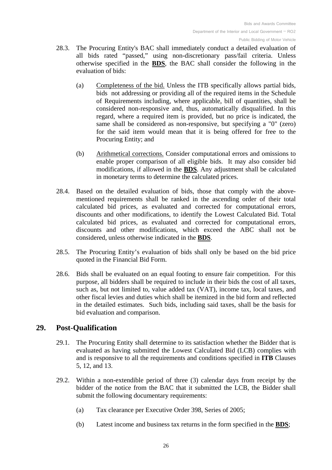- 28.3. The Procuring Entity's BAC shall immediately conduct a detailed evaluation of all bids rated "passed," using non-discretionary pass/fail criteria. Unless otherwise specified in the **BDS**, the BAC shall consider the following in the evaluation of bids:
	- (a) Completeness of the bid. Unless the ITB specifically allows partial bids, bids not addressing or providing all of the required items in the Schedule of Requirements including, where applicable, bill of quantities, shall be considered non-responsive and, thus, automatically disqualified. In this regard, where a required item is provided, but no price is indicated, the same shall be considered as non-responsive, but specifying a "0" (zero) for the said item would mean that it is being offered for free to the Procuring Entity; and
	- (b) Arithmetical corrections. Consider computational errors and omissions to enable proper comparison of all eligible bids. It may also consider bid modifications, if allowed in the **[BDS](#page-32-4)**. Any adjustment shall be calculated in monetary terms to determine the calculated prices.
- <span id="page-25-1"></span>28.4. Based on the detailed evaluation of bids, those that comply with the abovementioned requirements shall be ranked in the ascending order of their total calculated bid prices, as evaluated and corrected for computational errors, discounts and other modifications, to identify the Lowest Calculated Bid. Total calculated bid prices, as evaluated and corrected for computational errors, discounts and other modifications, which exceed the ABC shall not be considered, unless otherwise indicated in the **BDS**.
- <span id="page-25-3"></span>28.5. The Procuring Entity's evaluation of bids shall only be based on the bid price quoted in the Financial Bid Form.
- 28.6. Bids shall be evaluated on an equal footing to ensure fair competition. For this purpose, all bidders shall be required to include in their bids the cost of all taxes, such as, but not limited to, value added tax (VAT), income tax, local taxes, and other fiscal levies and duties which shall be itemized in the bid form and reflected in the detailed estimates. Such bids, including said taxes, shall be the basis for bid evaluation and comparison.

## <span id="page-25-0"></span>**29. Post-Qualification**

- 29.1. The Procuring Entity shall determine to its satisfaction whether the Bidder that is evaluated as having submitted the Lowest Calculated Bid (LCB) complies with and is responsive to all the requirements and conditions specified in **ITB** Clauses [5,](#page-8-0) [12,](#page-13-2) and [13.](#page-15-0)
- <span id="page-25-4"></span><span id="page-25-2"></span>29.2. Within a non-extendible period of three (3) calendar days from receipt by the bidder of the notice from the BAC that it submitted the LCB, the Bidder shall submit the following documentary requirements:
	- (a) Tax clearance per Executive Order 398, Series of 2005;
	- (b) Latest income and business tax returns in the form specified in the **[BDS](#page-32-5)**;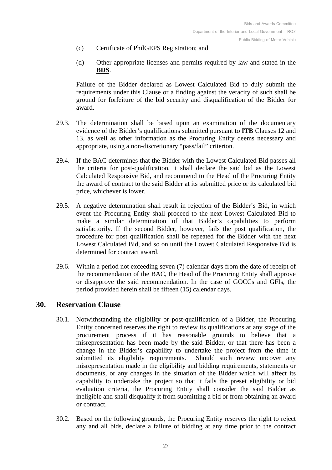- (c) Certificate of PhilGEPS Registration; and
- (d) Other appropriate licenses and permits required by law and stated in the **[BDS](#page-32-6)**.

Failure of the Bidder declared as Lowest Calculated Bid to duly submit the requirements under this Clause or a finding against the veracity of such shall be ground for forfeiture of the bid security and disqualification of the Bidder for award.

- 29.3. The determination shall be based upon an examination of the documentary evidence of the Bidder's qualifications submitted pursuant to **ITB** Clauses [12](#page-13-2) and [13,](#page-15-0) as well as other information as the Procuring Entity deems necessary and appropriate, using a non-discretionary "pass/fail" criterion.
- 29.4. If the BAC determines that the Bidder with the Lowest Calculated Bid passes all the criteria for post-qualification, it shall declare the said bid as the Lowest Calculated Responsive Bid, and recommend to the Head of the Procuring Entity the award of contract to the said Bidder at its submitted price or its calculated bid price, whichever is lower.
- 29.5. A negative determination shall result in rejection of the Bidder's Bid, in which event the Procuring Entity shall proceed to the next Lowest Calculated Bid to make a similar determination of that Bidder's capabilities to perform satisfactorily. If the second Bidder, however, fails the post qualification, the procedure for post qualification shall be repeated for the Bidder with the next Lowest Calculated Bid, and so on until the Lowest Calculated Responsive Bid is determined for contract award.
- 29.6. Within a period not exceeding seven (7) calendar days from the date of receipt of the recommendation of the BAC, the Head of the Procuring Entity shall approve or disapprove the said recommendation. In the case of GOCCs and GFIs, the period provided herein shall be fifteen (15) calendar days.

## <span id="page-26-0"></span>**30. Reservation Clause**

- 30.1. Notwithstanding the eligibility or post-qualification of a Bidder, the Procuring Entity concerned reserves the right to review its qualifications at any stage of the procurement process if it has reasonable grounds to believe that a misrepresentation has been made by the said Bidder, or that there has been a change in the Bidder's capability to undertake the project from the time it submitted its eligibility requirements. Should such review uncover any misrepresentation made in the eligibility and bidding requirements, statements or documents, or any changes in the situation of the Bidder which will affect its capability to undertake the project so that it fails the preset eligibility or bid evaluation criteria, the Procuring Entity shall consider the said Bidder as ineligible and shall disqualify it from submitting a bid or from obtaining an award or contract.
- 30.2. Based on the following grounds, the Procuring Entity reserves the right to reject any and all bids, declare a failure of bidding at any time prior to the contract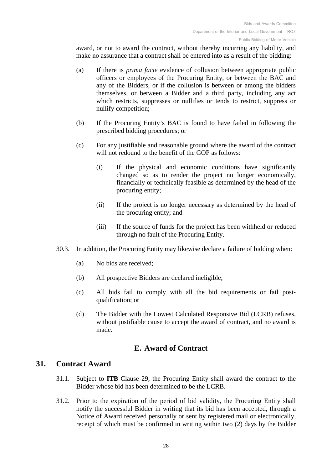award, or not to award the contract, without thereby incurring any liability, and make no assurance that a contract shall be entered into as a result of the bidding:

- (a) If there is *prima facie* evidence of collusion between appropriate public officers or employees of the Procuring Entity, or between the BAC and any of the Bidders, or if the collusion is between or among the bidders themselves, or between a Bidder and a third party, including any act which restricts, suppresses or nullifies or tends to restrict, suppress or nullify competition;
- (b) If the Procuring Entity's BAC is found to have failed in following the prescribed bidding procedures; or
- (c) For any justifiable and reasonable ground where the award of the contract will not redound to the benefit of the GOP as follows:
	- (i) If the physical and economic conditions have significantly changed so as to render the project no longer economically, financially or technically feasible as determined by the head of the procuring entity;
	- (ii) If the project is no longer necessary as determined by the head of the procuring entity; and
	- (iii) If the source of funds for the project has been withheld or reduced through no fault of the Procuring Entity.
- 30.3. In addition, the Procuring Entity may likewise declare a failure of bidding when:
	- (a) No bids are received;
	- (b) All prospective Bidders are declared ineligible;
	- (c) All bids fail to comply with all the bid requirements or fail postqualification; or
	- (d) The Bidder with the Lowest Calculated Responsive Bid (LCRB) refuses, without justifiable cause to accept the award of contract, and no award is made.

## **E. Award of Contract**

#### <span id="page-27-1"></span><span id="page-27-0"></span>**31. Contract Award**

- 31.1. Subject to **ITB** Clause [29,](#page-25-0) the Procuring Entity shall award the contract to the Bidder whose bid has been determined to be the LCRB.
- 31.2. Prior to the expiration of the period of bid validity, the Procuring Entity shall notify the successful Bidder in writing that its bid has been accepted, through a Notice of Award received personally or sent by registered mail or electronically, receipt of which must be confirmed in writing within two (2) days by the Bidder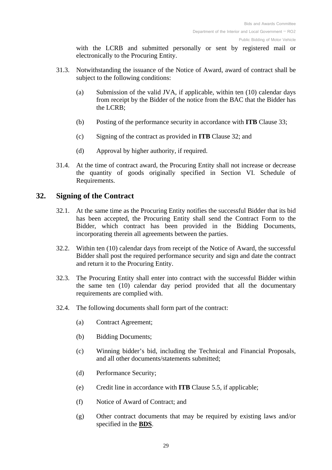with the LCRB and submitted personally or sent by registered mail or electronically to the Procuring Entity.

- 31.3. Notwithstanding the issuance of the Notice of Award, award of contract shall be subject to the following conditions:
	- (a) Submission of the valid JVA, if applicable, within ten (10) calendar days from receipt by the Bidder of the notice from the BAC that the Bidder has the LCRB;
	- (b) Posting of the performance security in accordance with **ITB** Clause [33;](#page-29-0)
	- (c) Signing of the contract as provided in **ITB** Clause [32;](#page-28-0) and
	- (d) Approval by higher authority, if required.
- 31.4. At the time of contract award, the Procuring Entity shall not increase or decrease the quantity of goods originally specified in Section VI. [Schedule of](#page-51-0)  [Requirements.](#page-51-0)

## <span id="page-28-0"></span>**32. Signing of the Contract**

- 32.1. At the same time as the Procuring Entity notifies the successful Bidder that its bid has been accepted, the Procuring Entity shall send the Contract Form to the Bidder, which contract has been provided in the Bidding Documents, incorporating therein all agreements between the parties.
- 32.2. Within ten (10) calendar days from receipt of the Notice of Award, the successful Bidder shall post the required performance security and sign and date the contract and return it to the Procuring Entity.
- 32.3. The Procuring Entity shall enter into contract with the successful Bidder within the same ten (10) calendar day period provided that all the documentary requirements are complied with.
- <span id="page-28-1"></span>32.4. The following documents shall form part of the contract:
	- (a) Contract Agreement;
	- (b) Bidding Documents;
	- (c) Winning bidder's bid, including the Technical and Financial Proposals, and all other documents/statements submitted;
	- (d) Performance Security;
	- (e) Credit line in accordance with **ITB** Clause [5.5,](#page-10-1) if applicable;
	- (f) Notice of Award of Contract; and
	- (g) Other contract documents that may be required by existing laws and/or specified in the **[BDS](#page-32-6)**.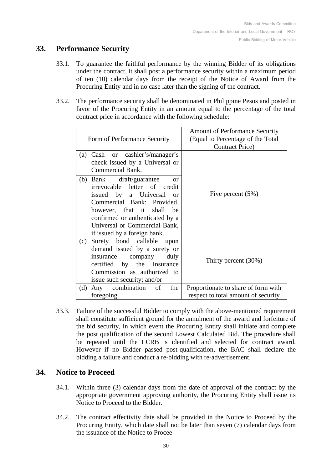## <span id="page-29-0"></span>**33. Performance Security**

- 33.1. To guarantee the faithful performance by the winning Bidder of its obligations under the contract, it shall post a performance security within a maximum period of ten (10) calendar days from the receipt of the Notice of Award from the Procuring Entity and in no case later than the signing of the contract.
- <span id="page-29-3"></span>33.2. The performance security shall be denominated in Philippine Pesos and posted in favor of the Procuring Entity in an amount equal to the percentage of the total contract price in accordance with the following schedule:

| Form of Performance Security                                                                                                                                                                                                                                       | Amount of Performance Security<br>(Equal to Percentage of the Total)<br><b>Contract Price</b> ) |
|--------------------------------------------------------------------------------------------------------------------------------------------------------------------------------------------------------------------------------------------------------------------|-------------------------------------------------------------------------------------------------|
| (a) Cash or cashier's/manager's<br>check issued by a Universal or<br>Commercial Bank.                                                                                                                                                                              |                                                                                                 |
| (b) Bank draft/guarantee<br>$\alpha$<br>irrevocable letter of credit<br>issued by a Universal or<br>Commercial Bank: Provided,<br>however, that it shall<br>he<br>confirmed or authenticated by a<br>Universal or Commercial Bank,<br>if issued by a foreign bank. | Five percent $(5\%)$                                                                            |
| Surety bond callable upon<br>(c)<br>demand issued by a surety or<br>insurance company<br>duly<br>certified by the Insurance<br>Commission as authorized to<br>issue such security; and/or                                                                          | Thirty percent $(30\%)$                                                                         |
| Any combination<br>the<br>(d)<br>of<br>foregoing.                                                                                                                                                                                                                  | Proportionate to share of form with<br>respect to total amount of security                      |

33.3. Failure of the successful Bidder to comply with the above-mentioned requirement shall constitute sufficient ground for the annulment of the award and forfeiture of the bid security, in which event the Procuring Entity shall initiate and complete the post qualification of the second Lowest Calculated Bid. The procedure shall be repeated until the LCRB is identified and selected for contract award. However if no Bidder passed post-qualification, the BAC shall declare the bidding a failure and conduct a re-bidding with re-advertisement.

## <span id="page-29-1"></span>**34. Notice to Proceed**

- 34.1. Within three (3) calendar days from the date of approval of the contract by the appropriate government approving authority, the Procuring Entity shall issue its Notice to Proceed to the Bidder.
- <span id="page-29-2"></span>34.2. The contract effectivity date shall be provided in the Notice to Proceed by the Procuring Entity, which date shall not be later than seven (7) calendar days from the issuance of the Notice to Procee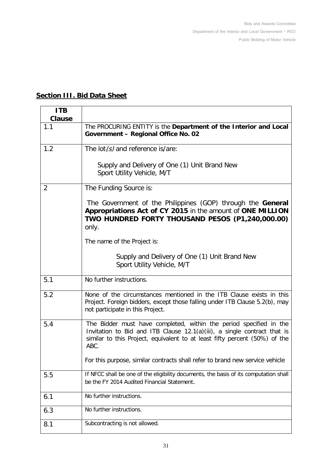## <span id="page-30-2"></span>**Section III. Bid Data Sheet**

<span id="page-30-7"></span><span id="page-30-6"></span><span id="page-30-5"></span><span id="page-30-4"></span><span id="page-30-3"></span><span id="page-30-1"></span><span id="page-30-0"></span>

| <b>ITB</b><br><b>Clause</b> |                                                                                                                                                                                                                                      |
|-----------------------------|--------------------------------------------------------------------------------------------------------------------------------------------------------------------------------------------------------------------------------------|
| 1.1                         | The PROCURING ENTITY is the Department of the Interior and Local<br>Government - Regional Office No. 02                                                                                                                              |
| 1.2                         | The $\text{lot}(s)$ and reference is/are:                                                                                                                                                                                            |
|                             | Supply and Delivery of One (1) Unit Brand New<br>Sport Utility Vehicle, M/T                                                                                                                                                          |
| $\overline{2}$              | The Funding Source is:                                                                                                                                                                                                               |
|                             | The Government of the Philippines (GOP) through the General<br>Appropriations Act of CY 2015 in the amount of ONE MILLION<br>TWO HUNDRED FORTY THOUSAND PESOS (P1,240,000.00)<br>only.                                               |
|                             | The name of the Project is:                                                                                                                                                                                                          |
|                             | Supply and Delivery of One (1) Unit Brand New<br>Sport Utility Vehicle, M/T                                                                                                                                                          |
| 5.1                         | No further instructions.                                                                                                                                                                                                             |
| 5.2                         | None of the circumstances mentioned in the ITB Clause exists in this<br>Project. Foreign bidders, except those falling under ITB Clause 5.2(b), may<br>not participate in this Project.                                              |
| 5.4                         | The Bidder must have completed, within the period specified in the<br>Invitation to Bid and ITB Clause 12.1(a)(iii), a single contract that is<br>similar to this Project, equivalent to at least fifty percent (50%) of the<br>ABC. |
|                             | For this purpose, similar contracts shall refer to brand new service vehicle                                                                                                                                                         |
| 5.5                         | If NFCC shall be one of the eligibility documents, the basis of its computation shall<br>be the FY 2014 Audited Financial Statement.                                                                                                 |
| 6.1                         | No further instructions.                                                                                                                                                                                                             |
| 6.3                         | No further instructions.                                                                                                                                                                                                             |
| 8.1                         | Subcontracting is not allowed.                                                                                                                                                                                                       |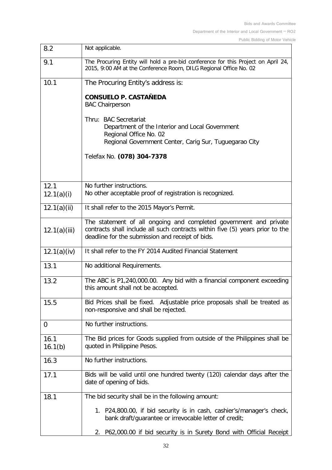Public Bidding of Motor Vehicle

<span id="page-31-10"></span><span id="page-31-9"></span><span id="page-31-8"></span><span id="page-31-7"></span><span id="page-31-6"></span><span id="page-31-5"></span><span id="page-31-4"></span><span id="page-31-3"></span><span id="page-31-2"></span><span id="page-31-1"></span><span id="page-31-0"></span>

| 8.2                | Not applicable.                                                                                                                                                                                        |
|--------------------|--------------------------------------------------------------------------------------------------------------------------------------------------------------------------------------------------------|
| 9.1                | The Procuring Entity will hold a pre-bid conference for this Project on April 24,<br>2015, 9:00 AM at the Conference Room, DILG Regional Office No. 02                                                 |
| 10.1               | The Procuring Entity's address is:                                                                                                                                                                     |
|                    | <b>CONSUELO P. CASTAÑEDA</b><br><b>BAC Chairperson</b>                                                                                                                                                 |
|                    | Thru: BAC Secretariat<br>Department of the Interior and Local Government<br>Regional Office No. 02<br>Regional Government Center, Carig Sur, Tuguegarao City                                           |
|                    | Telefax No. (078) 304-7378                                                                                                                                                                             |
| 12.1<br>12.1(a)(i) | No further instructions.<br>No other acceptable proof of registration is recognized.                                                                                                                   |
| 12.1(a)(ii)        | It shall refer to the 2015 Mayor's Permit.                                                                                                                                                             |
| 12.1(a)(iii)       | The statement of all ongoing and completed government and private<br>contracts shall include all such contracts within five (5) years prior to the<br>deadline for the submission and receipt of bids. |
| 12.1(a)(iv)        | It shall refer to the FY 2014 Audited Financial Statement                                                                                                                                              |
| 13.1               | No additional Requirements.                                                                                                                                                                            |
| 13.2               | The ABC is P1,240,000.00. Any bid with a financial component exceeding<br>this amount shall not be accepted.                                                                                           |
| 15.5               | Bid Prices shall be fixed. Adjustable price proposals shall be treated as<br>non-responsive and shall be rejected.                                                                                     |
| 0                  | No further instructions.                                                                                                                                                                               |
| 16.1<br>16.1(b)    | The Bid prices for Goods supplied from outside of the Philippines shall be<br>quoted in Philippine Pesos.                                                                                              |
| 16.3               | No further instructions.                                                                                                                                                                               |
| 17.1               | Bids will be valid until one hundred twenty (120) calendar days after the<br>date of opening of bids.                                                                                                  |
| 18.1               | The bid security shall be in the following amount:                                                                                                                                                     |
|                    | 1. P24,800.00, if bid security is in cash, cashier's/manager's check,<br>bank draft/guarantee or irrevocable letter of credit;                                                                         |
|                    | P62,000.00 if bid security is in Surety Bond with Official Receipt<br>2.                                                                                                                               |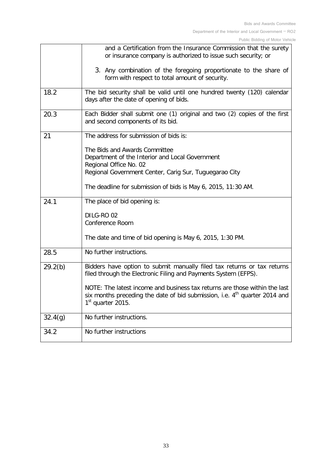<span id="page-32-6"></span><span id="page-32-5"></span><span id="page-32-4"></span><span id="page-32-3"></span><span id="page-32-2"></span><span id="page-32-1"></span><span id="page-32-0"></span>

| or insurance company is authorized to issue such security; or                                                                                                        |
|----------------------------------------------------------------------------------------------------------------------------------------------------------------------|
| 3. Any combination of the foregoing proportionate to the share of                                                                                                    |
| The bid security shall be valid until one hundred twenty (120) calendar                                                                                              |
| Each Bidder shall submit one (1) original and two (2) copies of the first                                                                                            |
|                                                                                                                                                                      |
|                                                                                                                                                                      |
|                                                                                                                                                                      |
|                                                                                                                                                                      |
|                                                                                                                                                                      |
|                                                                                                                                                                      |
|                                                                                                                                                                      |
|                                                                                                                                                                      |
|                                                                                                                                                                      |
|                                                                                                                                                                      |
| Bidders have option to submit manually filed tax returns or tax returns                                                                                              |
| NOTE: The latest income and business tax returns are those within the last<br>six months preceding the date of bid submission, i.e. 4 <sup>th</sup> quarter 2014 and |
|                                                                                                                                                                      |
|                                                                                                                                                                      |
|                                                                                                                                                                      |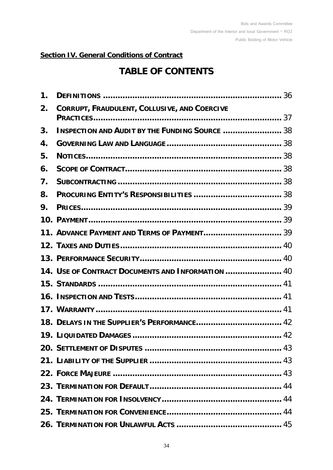## **Section IV. General Conditions of Contract**

# **TABLE OF CONTENTS**

| $\mathbf 1$ . |                                                       |  |
|---------------|-------------------------------------------------------|--|
| 2.            | CORRUPT, FRAUDULENT, COLLUSIVE, AND COERCIVE          |  |
| 3.            | <b>INSPECTION AND AUDIT BY THE FUNDING SOURCE  38</b> |  |
| 4.            |                                                       |  |
| 5.            |                                                       |  |
| 6.            |                                                       |  |
| 7.            |                                                       |  |
| 8.            |                                                       |  |
| 9.            |                                                       |  |
|               |                                                       |  |
|               | 11. ADVANCE PAYMENT AND TERMS OF PAYMENT 39           |  |
|               |                                                       |  |
|               |                                                       |  |
|               | 14. USE OF CONTRACT DOCUMENTS AND INFORMATION  40     |  |
|               |                                                       |  |
|               |                                                       |  |
|               |                                                       |  |
|               |                                                       |  |
|               |                                                       |  |
|               |                                                       |  |
|               |                                                       |  |
|               |                                                       |  |
|               |                                                       |  |
|               |                                                       |  |
|               |                                                       |  |
|               |                                                       |  |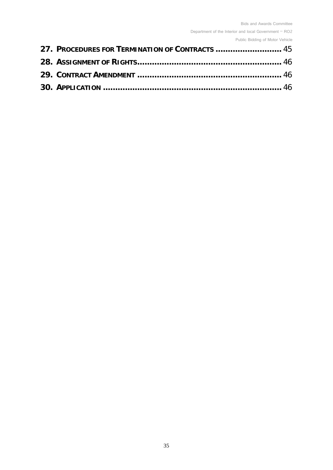Department of the Interior and local Government – RO2

Public Bidding of Motor Vehicle

| 27. PROCEDURES FOR TERMINATION OF CONTRACTS  45 |  |
|-------------------------------------------------|--|
|                                                 |  |
|                                                 |  |
|                                                 |  |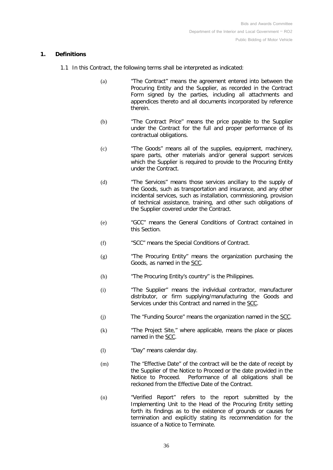#### <span id="page-35-0"></span>**1. Definitions**

- <span id="page-35-5"></span><span id="page-35-4"></span><span id="page-35-3"></span><span id="page-35-2"></span><span id="page-35-1"></span>1.1 In this Contract, the following terms shall be interpreted as indicated:
	- (a) "The Contract" means the agreement entered into between the Procuring Entity and the Supplier, as recorded in the Contract Form signed by the parties, including all attachments and appendices thereto and all documents incorporated by reference therein.
	- (b) "The Contract Price" means the price payable to the Supplier under the Contract for the full and proper performance of its contractual obligations.
	- (c) "The Goods" means all of the supplies, equipment, machinery, spare parts, other materials and/or general support services which the Supplier is required to provide to the Procuring Entity under the Contract.
	- (d) "The Services" means those services ancillary to the supply of the Goods, such as transportation and insurance, and any other incidental services, such as installation, commissioning, provision of technical assistance, training, and other such obligations of the Supplier covered under the Contract.
	- (e) "GCC" means the General Conditions of Contract contained in this Section.
	- (f) "SCC" means the Special Conditions of Contract.
	- (g) "The Procuring Entity" means the organization purchasing the Goods, as named in the [SCC.](#page-46-0)
	- (h) "The Procuring Entity's country" is the Philippines.
	- (i) "The Supplier" means the individual contractor, manufacturer distributor, or firm supplying/manufacturing the Goods and Services under this Contract and named in the [SCC.](#page-46-1)
	- (j) The "Funding Source" means the organization named in the [SCC.](#page-46-2)
	- (k) "The Project Site," where applicable, means the place or places named in the SCC.
	- (l) "Day" means calendar day.
	- (m) The "Effective Date" of the contract will be the date of receipt by the Supplier of the Notice to Proceed or the date provided in the Notice to Proceed. Performance of all obligations shall be reckoned from the Effective Date of the Contract.
	- (n) "Verified Report" refers to the report submitted by the Implementing Unit to the Head of the Procuring Entity setting forth its findings as to the existence of grounds or causes for termination and explicitly stating its recommendation for the issuance of a Notice to Terminate.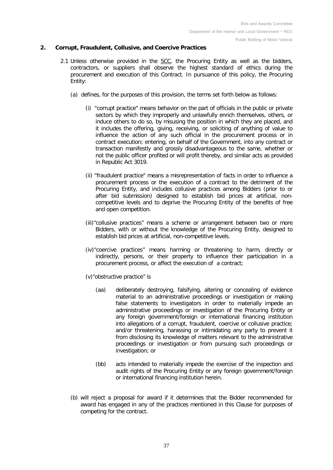#### <span id="page-36-0"></span>**2. Corrupt, Fraudulent, Collusive, and Coercive Practices**

- <span id="page-36-2"></span><span id="page-36-1"></span>2.1 Unless otherwise provided in the SCC, the Procuring Entity as well as the bidders, contractors, or suppliers shall observe the highest standard of ethics during the procurement and execution of this Contract. In pursuance of this policy, the Procuring Entity:
	- (a) defines, for the purposes of this provision, the terms set forth below as follows:
		- (i) "corrupt practice" means behavior on the part of officials in the public or private sectors by which they improperly and unlawfully enrich themselves, others, or induce others to do so, by misusing the position in which they are placed, and it includes the offering, giving, receiving, or soliciting of anything of value to influence the action of any such official in the procurement process or in contract execution; entering, on behalf of the Government, into any contract or transaction manifestly and grossly disadvantageous to the same, whether or not the public officer profited or will profit thereby, and similar acts as provided in Republic Act 3019.
		- (ii) "fraudulent practice" means a misrepresentation of facts in order to influence a procurement process or the execution of a contract to the detriment of the Procuring Entity, and includes collusive practices among Bidders (prior to or after bid submission) designed to establish bid prices at artificial, noncompetitive levels and to deprive the Procuring Entity of the benefits of free and open competition.
		- (iii)"collusive practices" means a scheme or arrangement between two or more Bidders, with or without the knowledge of the Procuring Entity, designed to establish bid prices at artificial, non-competitive levels.
		- (iv)"coercive practices" means harming or threatening to harm, directly or indirectly, persons, or their property to influence their participation in a procurement process, or affect the execution of a contract;
		- (v)"obstructive practice" is
			- (aa) deliberately destroying, falsifying, altering or concealing of evidence material to an administrative proceedings or investigation or making false statements to investigators in order to materially impede an administrative proceedings or investigation of the Procuring Entity or any foreign government/foreign or international financing institution into allegations of a corrupt, fraudulent, coercive or collusive practice; and/or threatening, harassing or intimidating any party to prevent it from disclosing its knowledge of matters relevant to the administrative proceedings or investigation or from pursuing such proceedings or investigation; or
			- (bb) acts intended to materially impede the exercise of the inspection and audit rights of the Procuring Entity or any foreign government/foreign or international financing institution herein.
	- (b) will reject a proposal for award if it determines that the Bidder recommended for award has engaged in any of the practices mentioned in this Clause for purposes of competing for the contract.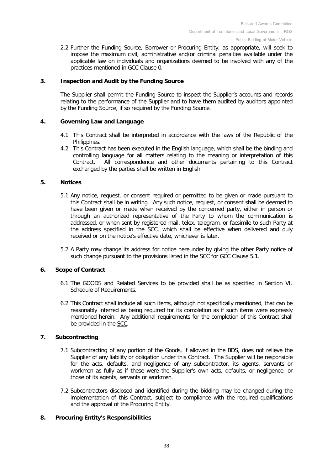2.2 Further the Funding Source, Borrower or Procuring Entity, as appropriate, will seek to impose the maximum civil, administrative and/or criminal penalties available under the applicable law on individuals and organizations deemed to be involved with any of the practices mentioned in GCC Clause [0.](#page-36-1)

#### **3. Inspection and Audit by the Funding Source**

The Supplier shall permit the Funding Source to inspect the Supplier's accounts and records relating to the performance of the Supplier and to have them audited by auditors appointed by the Funding Source, if so required by the Funding Source.

#### <span id="page-37-0"></span>**4. Governing Law and Language**

- 4.1 This Contract shall be interpreted in accordance with the laws of the Republic of the Philippines.
- 4.2 This Contract has been executed in the English language, which shall be the binding and controlling language for all matters relating to the meaning or interpretation of this All correspondence and other documents pertaining to this Contract exchanged by the parties shall be written in English.

#### <span id="page-37-2"></span><span id="page-37-1"></span>**5. Notices**

- 5.1 Any notice, request, or consent required or permitted to be given or made pursuant to this Contract shall be in writing. Any such notice, request, or consent shall be deemed to have been given or made when received by the concerned party, either in person or through an authorized representative of the Party to whom the communication is addressed, or when sent by registered mail, telex, telegram, or facsimile to such Party at the address specified in the [SCC,](#page-46-3) which shall be effective when delivered and duly received or on the notice's effective date, whichever is later.
- 5.2 A Party may change its address for notice hereunder by giving the other Party notice of such change pursuant to the provisions listed in the [SCC](#page-46-3) for GCC Clause [5.1.](#page-37-2)

#### **6. Scope of Contract**

- 6.1 The GOODS and Related Services to be provided shall be as specified in Section VI. Schedule of Requirements.
- 6.2 This Contract shall include all such items, although not specifically mentioned, that can be reasonably inferred as being required for its completion as if such items were expressly mentioned herein. Any additional requirements for the completion of this Contract shall be provided in the SCC.

#### **7. Subcontracting**

- 7.1 Subcontracting of any portion of the Goods, if allowed in the BDS, does not relieve the Supplier of any liability or obligation under this Contract. The Supplier will be responsible for the acts, defaults, and negligence of any subcontractor, its agents, servants or workmen as fully as if these were the Supplier's own acts, defaults, or negligence, or those of its agents, servants or workmen.
- 7.2 Subcontractors disclosed and identified during the bidding may be changed during the implementation of this Contract, subject to compliance with the required qualifications and the approval of the Procuring Entity.

#### **8. Procuring Entity's Responsibilities**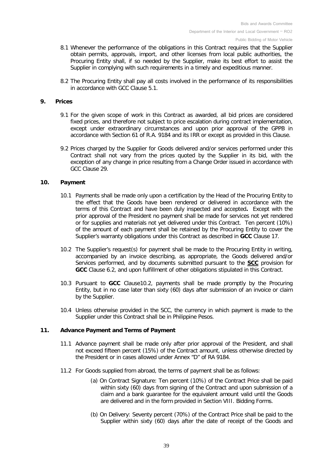- 8.1 Whenever the performance of the obligations in this Contract requires that the Supplier obtain permits, approvals, import, and other licenses from local public authorities, the Procuring Entity shall, if so needed by the Supplier, make its best effort to assist the Supplier in complying with such requirements in a timely and expeditious manner.
- 8.2 The Procuring Entity shall pay all costs involved in the performance of its responsibilities in accordance with GCC Clause 5.1.

#### **9. Prices**

- 9.1 For the given scope of work in this Contract as awarded, all bid prices are considered fixed prices, and therefore not subject to price escalation during contract implementation, except under extraordinary circumstances and upon prior approval of the GPPB in accordance with Section 61 of R.A. 9184 and its IRR or except as provided in this Clause.
- 9.2 Prices charged by the Supplier for Goods delivered and/or services performed under this Contract shall not vary from the prices quoted by the Supplier in its bid, with the exception of any change in price resulting from a Change Order issued in accordance with GCC Clause 29.

#### **10. Payment**

- 10.1 Payments shall be made only upon a certification by the Head of the Procuring Entity to the effect that the Goods have been rendered or delivered in accordance with the terms of this Contract and have been duly inspected and accepted**.** Except with the prior approval of the President no payment shall be made for services not yet rendered or for supplies and materials not yet delivered under this Contract. Ten percent (10%) of the amount of each payment shall be retained by the Procuring Entity to cover the Supplier's warranty obligations under this Contract as described in **GCC** Clause 17.
- 10.2 The Supplier's request(s) for payment shall be made to the Procuring Entity in writing, accompanied by an invoice describing, as appropriate, the Goods delivered and/or Services performed, and by documents submitted pursuant to the **SCC** provision for **GCC** Clause 6.2, and upon fulfillment of other obligations stipulated in this Contract.
- 10.3 Pursuant to **GCC** Clause10.2, payments shall be made promptly by the Procuring Entity, but in no case later than sixty (60) days after submission of an invoice or claim by the Supplier.
- 10.4 Unless otherwise provided in the SCC, the currency in which payment is made to the Supplier under this Contract shall be in Philippine Pesos.

#### **11. Advance Payment and Terms of Payment**

- 11.1 Advance payment shall be made only after prior approval of the President, and shall not exceed fifteen percent (15%) of the Contract amount, unless otherwise directed by the President or in cases allowed under Annex "D" of RA 9184.
- 11.2 For Goods supplied from abroad, the terms of payment shall be as follows:
	- (a) On Contract Signature: Ten percent (10%) of the Contract Price shall be paid within sixty (60) days from signing of the Contract and upon submission of a claim and a bank guarantee for the equivalent amount valid until the Goods are delivered and in the form provided in Section VIII. Bidding Forms.
	- (b) On Delivery: Seventy percent (70%) of the Contract Price shall be paid to the Supplier within sixty (60) days after the date of receipt of the Goods and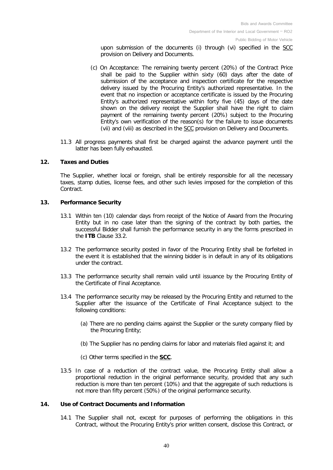upon submission of the documents (i) through (vi) specified in the SCC provision on Delivery and Documents.

- (c) On Acceptance: The remaining twenty percent (20%) of the Contract Price shall be paid to the Supplier within sixty (60) days after the date of submission of the acceptance and inspection certificate for the respective delivery issued by the Procuring Entity's authorized representative. In the event that no inspection or acceptance certificate is issued by the Procuring Entity's authorized representative within forty five (45) days of the date shown on the delivery receipt the Supplier shall have the right to claim payment of the remaining twenty percent (20%) subject to the Procuring Entity's own verification of the reason(s) for the failure to issue documents (vii) and (viii) as described in the SCC provision on Delivery and Documents.
- 11.3 All progress payments shall first be charged against the advance payment until the latter has been fully exhausted.

#### **12. Taxes and Duties**

The Supplier, whether local or foreign, shall be entirely responsible for all the necessary taxes, stamp duties, license fees, and other such levies imposed for the completion of this Contract.

#### **13. Performance Security**

- 13.1 Within ten (10) calendar days from receipt of the Notice of Award from the Procuring Entity but in no case later than the signing of the contract by both parties, the successful Bidder shall furnish the performance security in any the forms prescribed in the **ITB** Clause [33.2.](#page-29-3)
- 13.2 The performance security posted in favor of the Procuring Entity shall be forfeited in the event it is established that the winning bidder is in default in any of its obligations under the contract.
- 13.3 The performance security shall remain valid until issuance by the Procuring Entity of the Certificate of Final Acceptance.
- 13.4 The performance security may be released by the Procuring Entity and returned to the Supplier after the issuance of the Certificate of Final Acceptance subject to the following conditions:
	- (a) There are no pending claims against the Supplier or the surety company filed by the Procuring Entity;
	- (b) The Supplier has no pending claims for labor and materials filed against it; and
	- (c) Other terms specified in the **[SCC](#page-50-0)**.
- 13.5 In case of a reduction of the contract value, the Procuring Entity shall allow a proportional reduction in the original performance security, provided that any such reduction is more than ten percent (10%) and that the aggregate of such reductions is not more than fifty percent (50%) of the original performance security.

#### **14. Use of Contract Documents and Information**

14.1 The Supplier shall not, except for purposes of performing the obligations in this Contract, without the Procuring Entity's prior written consent, disclose this Contract, or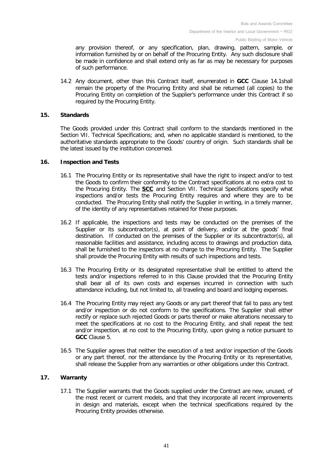any provision thereof, or any specification, plan, drawing, pattern, sample, or information furnished by or on behalf of the Procuring Entity. Any such disclosure shall be made in confidence and shall extend only as far as may be necessary for purposes of such performance.

14.2 Any document, other than this Contract itself, enumerated in **GCC** Clause 14.1shall remain the property of the Procuring Entity and shall be returned (all copies) to the Procuring Entity on completion of the Supplier's performance under this Contract if so required by the Procuring Entity.

#### **15. Standards**

The Goods provided under this Contract shall conform to the standards mentioned in the Section VII. Technical Specifications; and, when no applicable standard is mentioned, to the authoritative standards appropriate to the Goods' country of origin. Such standards shall be the latest issued by the institution concerned.

#### **16. Inspection and Tests**

- 16.1 The Procuring Entity or its representative shall have the right to inspect and/or to test the Goods to confirm their conformity to the Contract specifications at no extra cost to the Procuring Entity. The **SCC** and Section VII. Technical Specifications specify what inspections and/or tests the Procuring Entity requires and where they are to be conducted. The Procuring Entity shall notify the Supplier in writing, in a timely manner, of the identity of any representatives retained for these purposes.
- 16.2 If applicable, the inspections and tests may be conducted on the premises of the Supplier or its subcontractor(s), at point of delivery, and/or at the goods' final destination. If conducted on the premises of the Supplier or its subcontractor(s), all reasonable facilities and assistance, including access to drawings and production data, shall be furnished to the inspectors at no charge to the Procuring Entity. The Supplier shall provide the Procuring Entity with results of such inspections and tests.
- 16.3 The Procuring Entity or its designated representative shall be entitled to attend the tests and/or inspections referred to in this Clause provided that the Procuring Entity shall bear all of its own costs and expenses incurred in connection with such attendance including, but not limited to, all traveling and board and lodging expenses.
- 16.4 The Procuring Entity may reject any Goods or any part thereof that fail to pass any test and/or inspection or do not conform to the specifications. The Supplier shall either rectify or replace such rejected Goods or parts thereof or make alterations necessary to meet the specifications at no cost to the Procuring Entity, and shall repeat the test and/or inspection, at no cost to the Procuring Entity, upon giving a notice pursuant to **GCC** Clause [5.](#page-37-1)
- 16.5 The Supplier agrees that neither the execution of a test and/or inspection of the Goods or any part thereof, nor the attendance by the Procuring Entity or its representative, shall release the Supplier from any warranties or other obligations under this Contract.

#### **17. Warranty**

17.1 The Supplier warrants that the Goods supplied under the Contract are new, unused, of the most recent or current models, and that they incorporate all recent improvements in design and materials, except when the technical specifications required by the Procuring Entity provides otherwise.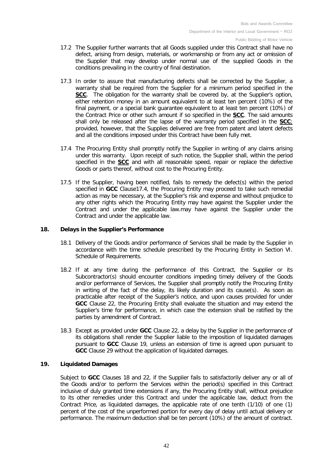- 17.2 The Supplier further warrants that all Goods supplied under this Contract shall have no defect, arising from design, materials, or workmanship or from any act or omission of the Supplier that may develop under normal use of the supplied Goods in the conditions prevailing in the country of final destination.
- 17.3 In order to assure that manufacturing defects shall be corrected by the Supplier, a warranty shall be required from the Supplier for a minimum period specified in the **SCC**. The obligation for the warranty shall be covered by, at the Supplier's option, either retention money in an amount equivalent to at least ten percent (10%) of the final payment, or a special bank quarantee equivalent to at least ten percent (10%) of the Contract Price or other such amount if so specified in the **SCC**. The said amounts shall only be released after the lapse of the warranty period specified in the **SCC**; provided, however, that the Supplies delivered are free from patent and latent defects and all the conditions imposed under this Contract have been fully met.
- 17.4 The Procuring Entity shall promptly notify the Supplier in writing of any claims arising under this warranty. Upon receipt of such notice, the Supplier shall, within the period specified in the **SCC** and with all reasonable speed, repair or replace the defective Goods or parts thereof, without cost to the Procuring Entity.
- 17.5 If the Supplier, having been notified, fails to remedy the defect(s) within the period specified in **GCC** Clause17.4, the Procuring Entity may proceed to take such remedial action as may be necessary, at the Supplier's risk and expense and without prejudice to any other rights which the Procuring Entity may have against the Supplier under the Contract and under the applicable law.may have against the Supplier under the Contract and under the applicable law.

#### **18. Delays in the Supplier's Performance**

- 18.1 Delivery of the Goods and/or performance of Services shall be made by the Supplier in accordance with the time schedule prescribed by the Procuring Entity in Section VI. Schedule of Requirements.
- 18.2 If at any time during the performance of this Contract, the Supplier or its Subcontractor(s) should encounter conditions impeding timely delivery of the Goods and/or performance of Services, the Supplier shall promptly notify the Procuring Entity in writing of the fact of the delay, its likely duration and its cause(s). As soon as practicable after receipt of the Supplier's notice, and upon causes provided for under **GCC** Clause 22, the Procuring Entity shall evaluate the situation and may extend the Supplier's time for performance, in which case the extension shall be ratified by the parties by amendment of Contract.
- 18.3 Except as provided under **GCC** Clause 22, a delay by the Supplier in the performance of its obligations shall render the Supplier liable to the imposition of liquidated damages pursuant to **GCC** Clause 19, unless an extension of time is agreed upon pursuant to **GCC** Clause 29 without the application of liquidated damages.

#### **19. Liquidated Damages**

Subject to **GCC** Clauses 18 and 22, if the Supplier fails to satisfactorily deliver any or all of the Goods and/or to perform the Services within the period(s) specified in this Contract inclusive of duly granted time extensions if any, the Procuring Entity shall, without prejudice to its other remedies under this Contract and under the applicable law, deduct from the Contract Price, as liquidated damages, the applicable rate of one tenth (1/10) of one (1) percent of the cost of the unperformed portion for every day of delay until actual delivery or performance. The maximum deduction shall be ten percent (10%) of the amount of contract.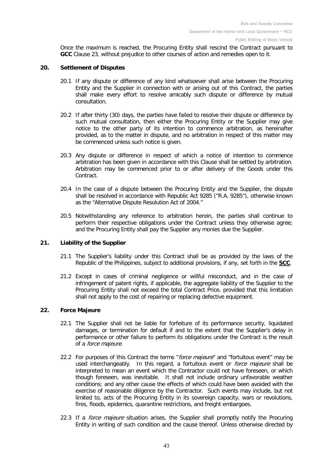Once the maximum is reached, the Procuring Entity shall rescind the Contract pursuant to **GCC** Clause 23, without prejudice to other courses of action and remedies open to it.

#### **20. Settlement of Disputes**

- 20.1 If any dispute or difference of any kind whatsoever shall arise between the Procuring Entity and the Supplier in connection with or arising out of this Contract, the parties shall make every effort to resolve amicably such dispute or difference by mutual consultation.
- 20.2 If after thirty (30) days, the parties have failed to resolve their dispute or difference by such mutual consultation, then either the Procuring Entity or the Supplier may give notice to the other party of its intention to commence arbitration, as hereinafter provided, as to the matter in dispute, and no arbitration in respect of this matter may be commenced unless such notice is given.
- 20.3 Any dispute or difference in respect of which a notice of intention to commence arbitration has been given in accordance with this Clause shall be settled by arbitration. Arbitration may be commenced prior to or after delivery of the Goods under this Contract.
- 20.4 In the case of a dispute between the Procuring Entity and the Supplier, the dispute shall be resolved in accordance with Republic Act 9285 ("R.A. 9285"), otherwise known as the "Alternative Dispute Resolution Act of 2004."
- 20.5 Notwithstanding any reference to arbitration herein, the parties shall continue to perform their respective obligations under the Contract unless they otherwise agree; and the Procuring Entity shall pay the Supplier any monies due the Supplier.

#### **21. Liability of the Supplier**

- 21.1 The Supplier's liability under this Contract shall be as provided by the laws of the Republic of the Philippines, subject to additional provisions, if any, set forth in the **[SCC](#page-50-0)**.
- 21.2 Except in cases of criminal negligence or willful misconduct, and in the case of infringement of patent rights, if applicable, the aggregate liability of the Supplier to the Procuring Entity shall not exceed the total Contract Price, provided that this limitation shall not apply to the cost of repairing or replacing defective equipment.

#### **22. Force Majeure**

- 22.1 The Supplier shall not be liable for forfeiture of its performance security, liquidated damages, or termination for default if and to the extent that the Supplier's delay in performance or other failure to perform its obligations under the Contract is the result of a force majeure.
- 22.2 For purposes of this Contract the terms "force majeure" and "fortuitous event" may be used interchangeably. In this regard, a fortuitous event or *force majeure* shall be interpreted to mean an event which the Contractor could not have foreseen, or which though foreseen, was inevitable. It shall not include ordinary unfavorable weather conditions; and any other cause the effects of which could have been avoided with the exercise of reasonable diligence by the Contractor. Such events may include, but not limited to, acts of the Procuring Entity in its sovereign capacity, wars or revolutions, fires, floods, epidemics, quarantine restrictions, and freight embargoes.
- 22.3 If a *force majeure* situation arises, the Supplier shall promptly notify the Procuring Entity in writing of such condition and the cause thereof. Unless otherwise directed by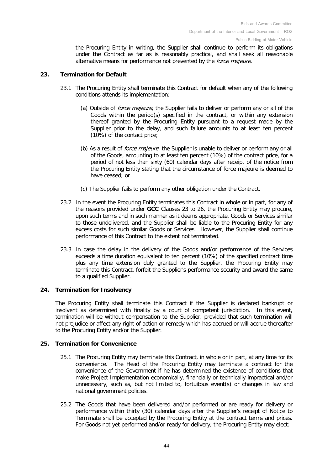the Procuring Entity in writing, the Supplier shall continue to perform its obligations under the Contract as far as is reasonably practical, and shall seek all reasonable alternative means for performance not prevented by the *force majeure*.

#### **23. Termination for Default**

- 23.1 The Procuring Entity shall terminate this Contract for default when any of the following conditions attends its implementation:
	- (a) Outside of *force majeure*, the Supplier fails to deliver or perform any or all of the Goods within the period(s) specified in the contract, or within any extension thereof granted by the Procuring Entity pursuant to a request made by the Supplier prior to the delay, and such failure amounts to at least ten percent (10%) of the contact price;
	- (b) As a result of *force majeure*, the Supplier is unable to deliver or perform any or all of the Goods, amounting to at least ten percent (10%) of the contract price, for a period of not less than sixty (60) calendar days after receipt of the notice from the Procuring Entity stating that the circumstance of force majeure is deemed to have ceased; or
	- (c) The Supplier fails to perform any other obligation under the Contract.
- 23.2 In the event the Procuring Entity terminates this Contract in whole or in part, for any of the reasons provided under **GCC** Clauses 23 to 26, the Procuring Entity may procure, upon such terms and in such manner as it deems appropriate, Goods or Services similar to those undelivered, and the Supplier shall be liable to the Procuring Entity for any excess costs for such similar Goods or Services. However, the Supplier shall continue performance of this Contract to the extent not terminated.
- 23.3 In case the delay in the delivery of the Goods and/or performance of the Services exceeds a time duration equivalent to ten percent (10%) of the specified contract time plus any time extension duly granted to the Supplier, the Procuring Entity may terminate this Contract, forfeit the Supplier's performance security and award the same to a qualified Supplier.

#### **24. Termination for Insolvency**

The Procuring Entity shall terminate this Contract if the Supplier is declared bankrupt or insolvent as determined with finality by a court of competent jurisdiction. In this event, termination will be without compensation to the Supplier, provided that such termination will not prejudice or affect any right of action or remedy which has accrued or will accrue thereafter to the Procuring Entity and/or the Supplier.

#### **25. Termination for Convenience**

- 25.1 The Procuring Entity may terminate this Contract, in whole or in part, at any time for its convenience. The Head of the Procuring Entity may terminate a contract for the convenience of the Government if he has determined the existence of conditions that make Project Implementation economically, financially or technically impractical and/or unnecessary, such as, but not limited to, fortuitous event(s) or changes in law and national government policies.
- 25.2 The Goods that have been delivered and/or performed or are ready for delivery or performance within thirty (30) calendar days after the Supplier's receipt of Notice to Terminate shall be accepted by the Procuring Entity at the contract terms and prices. For Goods not yet performed and/or ready for delivery, the Procuring Entity may elect: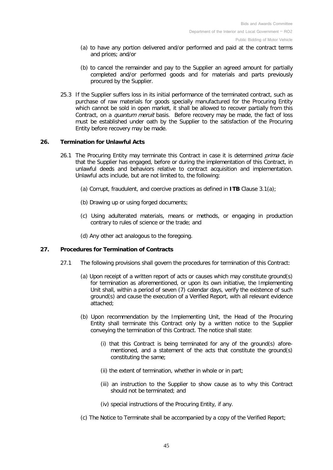- (a) to have any portion delivered and/or performed and paid at the contract terms and prices; and/or
- (b) to cancel the remainder and pay to the Supplier an agreed amount for partially completed and/or performed goods and for materials and parts previously procured by the Supplier.
- 25.3 If the Supplier suffers loss in its initial performance of the terminated contract, such as purchase of raw materials for goods specially manufactured for the Procuring Entity which cannot be sold in open market, it shall be allowed to recover partially from this Contract, on a *quantum meruit* basis. Before recovery may be made, the fact of loss must be established under oath by the Supplier to the satisfaction of the Procuring Entity before recovery may be made.

#### **26. Termination for Unlawful Acts**

- 26.1 The Procuring Entity may terminate this Contract in case it is determined prima facie that the Supplier has engaged, before or during the implementation of this Contract, in unlawful deeds and behaviors relative to contract acquisition and implementation. Unlawful acts include, but are not limited to, the following:
	- (a) Corrupt, fraudulent, and coercive practices as defined in **ITB** Clause [3.1\(a\);](#page-6-4)
	- (b) Drawing up or using forged documents;
	- (c) Using adulterated materials, means or methods, or engaging in production contrary to rules of science or the trade; and
	- (d) Any other act analogous to the foregoing.

#### **27. Procedures for Termination of Contracts**

- 27.1 The following provisions shall govern the procedures for termination of this Contract:
	- (a) Upon receipt of a written report of acts or causes which may constitute ground(s) for termination as aforementioned, or upon its own initiative, the Implementing Unit shall, within a period of seven (7) calendar days, verify the existence of such ground(s) and cause the execution of a Verified Report, with all relevant evidence attached;
	- (b) Upon recommendation by the Implementing Unit, the Head of the Procuring Entity shall terminate this Contract only by a written notice to the Supplier conveying the termination of this Contract. The notice shall state:
		- (i) that this Contract is being terminated for any of the ground(s) aforementioned, and a statement of the acts that constitute the ground(s) constituting the same;
		- (ii) the extent of termination, whether in whole or in part;
		- (iii) an instruction to the Supplier to show cause as to why this Contract should not be terminated; and
		- (iv) special instructions of the Procuring Entity, if any.
	- (c) The Notice to Terminate shall be accompanied by a copy of the Verified Report;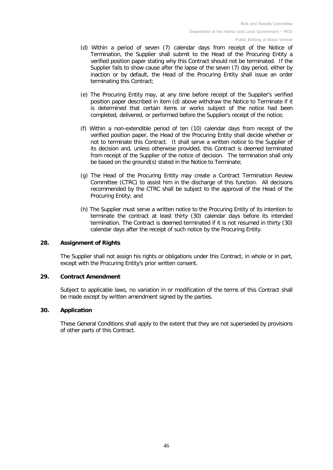- (d) Within a period of seven (7) calendar days from receipt of the Notice of Termination, the Supplier shall submit to the Head of the Procuring Entity a verified position paper stating why this Contract should not be terminated. If the Supplier fails to show cause after the lapse of the seven (7) day period, either by inaction or by default, the Head of the Procuring Entity shall issue an order terminating this Contract;
- (e) The Procuring Entity may, at any time before receipt of the Supplier's verified position paper described in item (d) above withdraw the Notice to Terminate if it is determined that certain items or works subject of the notice had been completed, delivered, or performed before the Supplier's receipt of the notice;
- (f) Within a non-extendible period of ten (10) calendar days from receipt of the verified position paper, the Head of the Procuring Entity shall decide whether or not to terminate this Contract. It shall serve a written notice to the Supplier of its decision and, unless otherwise provided, this Contract is deemed terminated from receipt of the Supplier of the notice of decision. The termination shall only be based on the ground(s) stated in the Notice to Terminate;
- (g) The Head of the Procuring Entity may create a Contract Termination Review Committee (CTRC) to assist him in the discharge of this function. All decisions recommended by the CTRC shall be subject to the approval of the Head of the Procuring Entity; and
- (h) The Supplier must serve a written notice to the Procuring Entity of its intention to terminate the contract at least thirty (30) calendar days before its intended termination. The Contract is deemed terminated if it is not resumed in thirty (30) calendar days after the receipt of such notice by the Procuring Entity.

#### **28. Assignment of Rights**

The Supplier shall not assign his rights or obligations under this Contract, in whole or in part, except with the Procuring Entity's prior written consent.

#### **29. Contract Amendment**

Subject to applicable laws, no variation in or modification of the terms of this Contract shall be made except by written amendment signed by the parties.

#### **30. Application**

These General Conditions shall apply to the extent that they are not superseded by provisions of other parts of this Contract.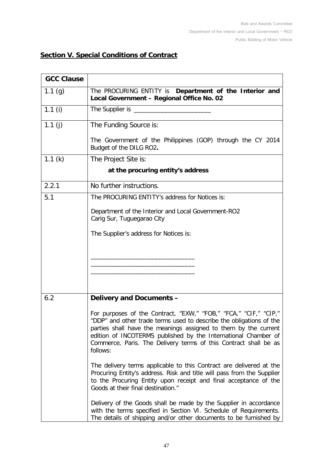## **Section V. Special Conditions of Contract**

<span id="page-46-3"></span><span id="page-46-2"></span><span id="page-46-1"></span><span id="page-46-0"></span>

| <b>GCC Clause</b> |                                                                                                                                                                                                                                                                                                                                                              |
|-------------------|--------------------------------------------------------------------------------------------------------------------------------------------------------------------------------------------------------------------------------------------------------------------------------------------------------------------------------------------------------------|
| 1.1 $(g)$         | The PROCURING ENTITY is Department of the Interior and<br>Local Government - Regional Office No. 02                                                                                                                                                                                                                                                          |
| 1.1 $(i)$         | The Supplier is _________                                                                                                                                                                                                                                                                                                                                    |
| 1.1 $(i)$         | The Funding Source is:                                                                                                                                                                                                                                                                                                                                       |
|                   | The Government of the Philippines (GOP) through the CY 2014<br>Budget of the DILG RO2.                                                                                                                                                                                                                                                                       |
| 1.1 $(k)$         | The Project Site is:                                                                                                                                                                                                                                                                                                                                         |
|                   | at the procuring entity's address                                                                                                                                                                                                                                                                                                                            |
| 2.2.1             | No further instructions.                                                                                                                                                                                                                                                                                                                                     |
| 5.1               | The PROCURING ENTITY's address for Notices is:                                                                                                                                                                                                                                                                                                               |
|                   | Department of the Interior and Local Government-RO2<br>Carig Sur, Tuguegarao City                                                                                                                                                                                                                                                                            |
|                   | The Supplier's address for Notices is:                                                                                                                                                                                                                                                                                                                       |
|                   |                                                                                                                                                                                                                                                                                                                                                              |
|                   |                                                                                                                                                                                                                                                                                                                                                              |
|                   |                                                                                                                                                                                                                                                                                                                                                              |
| 6.2               | <b>Delivery and Documents -</b>                                                                                                                                                                                                                                                                                                                              |
|                   | For purposes of the Contract, "EXW," "FOB," "FCA," "CIF," "CIP,"<br>"DDP" and other trade terms used to describe the obligations of the<br>parties shall have the meanings assigned to them by the current<br>edition of INCOTERMS published by the International Chamber of<br>Commerce, Paris. The Delivery terms of this Contract shall be as<br>follows: |
|                   | The delivery terms applicable to this Contract are delivered at the<br>Procuring Entity's address. Risk and title will pass from the Supplier<br>to the Procuring Entity upon receipt and final acceptance of the<br>Goods at their final destination."                                                                                                      |
|                   | Delivery of the Goods shall be made by the Supplier in accordance<br>with the terms specified in Section VI. Schedule of Requirements.<br>The details of shipping and/or other documents to be furnished by                                                                                                                                                  |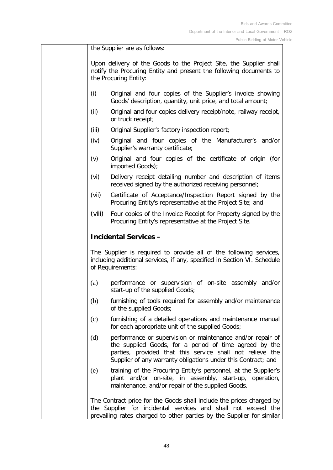the Supplier are as follows:

Upon delivery of the Goods to the Project Site, the Supplier shall notify the Procuring Entity and present the following documents to the Procuring Entity:

- (i) Original and four copies of the Supplier's invoice showing Goods' description, quantity, unit price, and total amount;
- (ii) Original and four copies delivery receipt/note, railway receipt, or truck receipt;
- (iii) Original Supplier's factory inspection report;
- (iv) Original and four copies of the Manufacturer's and/or Supplier's warranty certificate;
- (v) Original and four copies of the certificate of origin (for imported Goods);
- (vi) Delivery receipt detailing number and description of items received signed by the authorized receiving personnel;
- (vii) Certificate of Acceptance/Inspection Report signed by the Procuring Entity's representative at the Project Site; and
- (viii) Four copies of the Invoice Receipt for Property signed by the Procuring Entity's representative at the Project Site.

## **Incidental Services –**

The Supplier is required to provide all of the following services, including additional services, if any, specified in Section VI. Schedule of Requirements:

- (a) performance or supervision of on-site assembly and/or start-up of the supplied Goods;
- (b) furnishing of tools required for assembly and/or maintenance of the supplied Goods;
- (c) furnishing of a detailed operations and maintenance manual for each appropriate unit of the supplied Goods;
- (d) performance or supervision or maintenance and/or repair of the supplied Goods, for a period of time agreed by the parties, provided that this service shall not relieve the Supplier of any warranty obligations under this Contract; and
- (e) training of the Procuring Entity's personnel, at the Supplier's plant and/or on-site, in assembly, start-up, operation, maintenance, and/or repair of the supplied Goods.

The Contract price for the Goods shall include the prices charged by the Supplier for incidental services and shall not exceed the prevailing rates charged to other parties by the Supplier for similar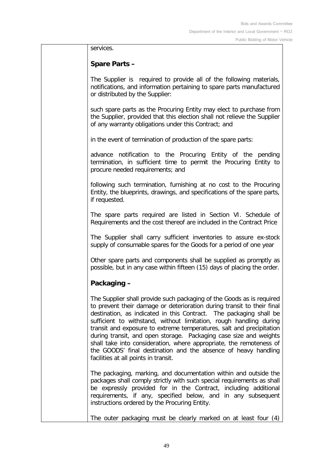services.

## **Spare Parts –**

The Supplier is required to provide all of the following materials, notifications, and information pertaining to spare parts manufactured or distributed by the Supplier:

such spare parts as the Procuring Entity may elect to purchase from the Supplier, provided that this election shall not relieve the Supplier of any warranty obligations under this Contract; and

in the event of termination of production of the spare parts:

advance notification to the Procuring Entity of the pending termination, in sufficient time to permit the Procuring Entity to procure needed requirements; and

following such termination, furnishing at no cost to the Procuring Entity, the blueprints, drawings, and specifications of the spare parts, if requested.

The spare parts required are listed in Section VI. Schedule of Requirements and the cost thereof are included in the Contract Price

The Supplier shall carry sufficient inventories to assure ex-stock supply of consumable spares for the Goods for a period of one year

Other spare parts and components shall be supplied as promptly as possible, but in any case within fifteen (15) days of placing the order.

## **Packaging –**

The Supplier shall provide such packaging of the Goods as is required to prevent their damage or deterioration during transit to their final destination, as indicated in this Contract. The packaging shall be sufficient to withstand, without limitation, rough handling during transit and exposure to extreme temperatures, salt and precipitation during transit, and open storage. Packaging case size and weights shall take into consideration, where appropriate, the remoteness of the GOODS' final destination and the absence of heavy handling facilities at all points in transit.

The packaging, marking, and documentation within and outside the packages shall comply strictly with such special requirements as shall be expressly provided for in the Contract, including additional requirements, if any, specified below, and in any subsequent instructions ordered by the Procuring Entity.

The outer packaging must be clearly marked on at least four (4)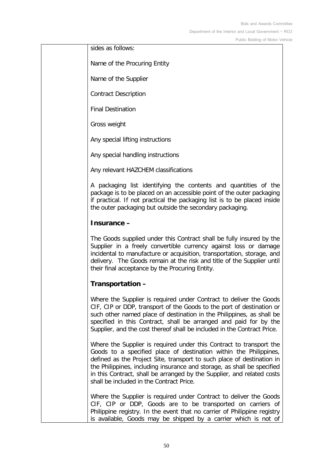Bids and Awards Committee Department of the Interior and Local Government – RO2

Public Bidding of Motor Vehicle

sides as follows:

Name of the Procuring Entity

Name of the Supplier

Contract Description

Final Destination

Gross weight

Any special lifting instructions

Any special handling instructions

Any relevant HAZCHEM classifications

A packaging list identifying the contents and quantities of the package is to be placed on an accessible point of the outer packaging if practical. If not practical the packaging list is to be placed inside the outer packaging but outside the secondary packaging.

#### **Insurance –**

The Goods supplied under this Contract shall be fully insured by the Supplier in a freely convertible currency against loss or damage incidental to manufacture or acquisition, transportation, storage, and delivery. The Goods remain at the risk and title of the Supplier until their final acceptance by the Procuring Entity.

#### **Transportation –**

Where the Supplier is required under Contract to deliver the Goods CIF, CIP or DDP, transport of the Goods to the port of destination or such other named place of destination in the Philippines, as shall be specified in this Contract, shall be arranged and paid for by the Supplier, and the cost thereof shall be included in the Contract Price.

Where the Supplier is required under this Contract to transport the Goods to a specified place of destination within the Philippines, defined as the Project Site, transport to such place of destination in the Philippines, including insurance and storage, as shall be specified in this Contract, shall be arranged by the Supplier, and related costs shall be included in the Contract Price.

Where the Supplier is required under Contract to deliver the Goods CIF, CIP or DDP, Goods are to be transported on carriers of Philippine registry. In the event that no carrier of Philippine registry is available, Goods may be shipped by a carrier which is not of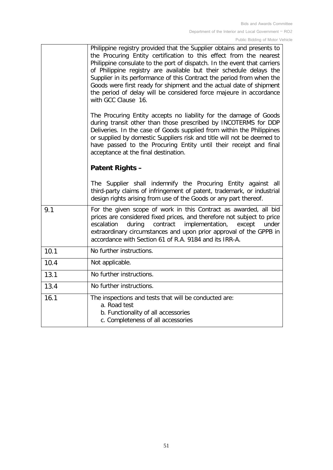<span id="page-50-0"></span>

|      | Philippine registry provided that the Supplier obtains and presents to<br>the Procuring Entity certification to this effect from the nearest<br>Philippine consulate to the port of dispatch. In the event that carriers<br>of Philippine registry are available but their schedule delays the<br>Supplier in its performance of this Contract the period from when the<br>Goods were first ready for shipment and the actual date of shipment<br>the period of delay will be considered force majeure in accordance<br>with GCC Clause 16. |
|------|---------------------------------------------------------------------------------------------------------------------------------------------------------------------------------------------------------------------------------------------------------------------------------------------------------------------------------------------------------------------------------------------------------------------------------------------------------------------------------------------------------------------------------------------|
|      | The Procuring Entity accepts no liability for the damage of Goods<br>during transit other than those prescribed by INCOTERMS for DDP<br>Deliveries. In the case of Goods supplied from within the Philippines<br>or supplied by domestic Suppliers risk and title will not be deemed to<br>have passed to the Procuring Entity until their receipt and final<br>acceptance at the final destination.                                                                                                                                        |
|      | <b>Patent Rights -</b>                                                                                                                                                                                                                                                                                                                                                                                                                                                                                                                      |
|      | The Supplier shall indemnify the Procuring Entity against all<br>third-party claims of infringement of patent, trademark, or industrial<br>design rights arising from use of the Goods or any part thereof.                                                                                                                                                                                                                                                                                                                                 |
| 9.1  | For the given scope of work in this Contract as awarded, all bid<br>prices are considered fixed prices, and therefore not subject to price<br>during<br>contract<br>implementation,<br>escalation<br>except<br>under<br>extraordinary circumstances and upon prior approval of the GPPB in<br>accordance with Section 61 of R.A. 9184 and its IRR-A.                                                                                                                                                                                        |
| 10.1 | No further instructions.                                                                                                                                                                                                                                                                                                                                                                                                                                                                                                                    |
| 10.4 | Not applicable.                                                                                                                                                                                                                                                                                                                                                                                                                                                                                                                             |
| 13.1 | No further instructions.                                                                                                                                                                                                                                                                                                                                                                                                                                                                                                                    |
| 13.4 | No further instructions.                                                                                                                                                                                                                                                                                                                                                                                                                                                                                                                    |
| 16.1 | The inspections and tests that will be conducted are:<br>a. Road test<br>b. Functionality of all accessories<br>c. Completeness of all accessories                                                                                                                                                                                                                                                                                                                                                                                          |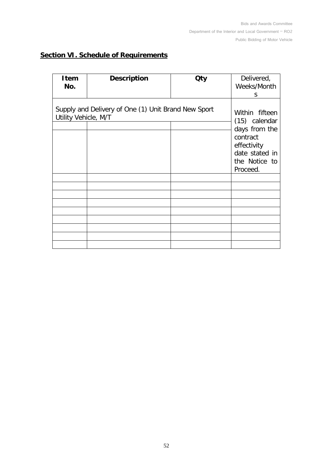## <span id="page-51-0"></span>**Section VI. Schedule of Requirements**

| <b>Item</b><br>No.   | <b>Description</b>                                  | <b>Qty</b> | Delivered,<br>Weeks/Month<br>S                                                                                             |
|----------------------|-----------------------------------------------------|------------|----------------------------------------------------------------------------------------------------------------------------|
| Utility Vehicle, M/T | Supply and Delivery of One (1) Unit Brand New Sport |            | Within fifteen<br>(15) calendar<br>days from the<br>contract<br>effectivity<br>date stated in<br>the Notice to<br>Proceed. |
|                      |                                                     |            |                                                                                                                            |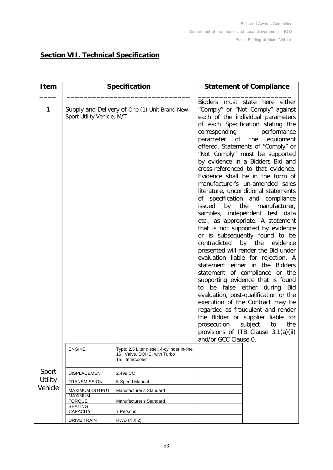## <span id="page-52-0"></span>**Section VII. Technical Specification**

| <b>Item</b>    | <b>Specification</b>                                                                                                                                                     |                         | <b>Statement of Compliance</b>                                                                                                                                                                                                                                                                                                                                                                                                                                                                                                                                                                                                                                                                                                                                                                                                                                                                                                                                                                                                                                                                                                                                                                                                     |  |  |  |
|----------------|--------------------------------------------------------------------------------------------------------------------------------------------------------------------------|-------------------------|------------------------------------------------------------------------------------------------------------------------------------------------------------------------------------------------------------------------------------------------------------------------------------------------------------------------------------------------------------------------------------------------------------------------------------------------------------------------------------------------------------------------------------------------------------------------------------------------------------------------------------------------------------------------------------------------------------------------------------------------------------------------------------------------------------------------------------------------------------------------------------------------------------------------------------------------------------------------------------------------------------------------------------------------------------------------------------------------------------------------------------------------------------------------------------------------------------------------------------|--|--|--|
| 1              | Supply and Delivery of One (1) Unit Brand New<br>Sport Utility Vehicle, M/T<br><b>ENGINE</b><br>Type: 2.5 Liter diesel, 4-cylinder in-line<br>16 Valve, DOHC, with Turbo |                         | Bidders must state here either<br>"Comply" or "Not Comply" against<br>each of the individual parameters<br>of each Specification stating the<br>corresponding<br>performance<br>parameter of the<br>equipment<br>offered. Statements of "Comply" or<br>"Not Comply" must be supported<br>by evidence in a Bidders Bid and<br>cross-referenced to that evidence.<br>Evidence shall be in the form of<br>manufacturer's un-amended sales<br>literature, unconditional statements<br>of specification and compliance<br>by the<br>issued<br>manufacturer,<br>samples, independent test data<br>etc., as appropriate. A statement<br>that is not supported by evidence<br>or is subsequently found to be<br>contradicted by the evidence<br>presented will render the Bid under<br>evaluation liable for rejection. A<br>statement either in the Bidders<br>statement of compliance or the<br>supporting evidence that is found<br>be false<br>either during<br>Bid<br>to<br>evaluation, post-qualification or the<br>execution of the Contract may be<br>regarded as fraudulent and render<br>the Bidder or supplier liable for<br>subject<br>prosecution<br>the<br>to<br>provisions of ITB Clause 3.1(a)(ii)<br>and/or GCC Clause 0. |  |  |  |
|                |                                                                                                                                                                          | Intercooler<br>15       |                                                                                                                                                                                                                                                                                                                                                                                                                                                                                                                                                                                                                                                                                                                                                                                                                                                                                                                                                                                                                                                                                                                                                                                                                                    |  |  |  |
| Sport          | DISPLACEMENT                                                                                                                                                             | 2,499 CC                |                                                                                                                                                                                                                                                                                                                                                                                                                                                                                                                                                                                                                                                                                                                                                                                                                                                                                                                                                                                                                                                                                                                                                                                                                                    |  |  |  |
| <b>Utility</b> | <b>TRANSMISSION</b>                                                                                                                                                      | 5-Speed Manual          |                                                                                                                                                                                                                                                                                                                                                                                                                                                                                                                                                                                                                                                                                                                                                                                                                                                                                                                                                                                                                                                                                                                                                                                                                                    |  |  |  |
| Vehicle        | <b>MAXIMUM OUTPUT</b>                                                                                                                                                    | Manufacturer's Standard |                                                                                                                                                                                                                                                                                                                                                                                                                                                                                                                                                                                                                                                                                                                                                                                                                                                                                                                                                                                                                                                                                                                                                                                                                                    |  |  |  |
|                | <b>MAXIMUM</b>                                                                                                                                                           |                         |                                                                                                                                                                                                                                                                                                                                                                                                                                                                                                                                                                                                                                                                                                                                                                                                                                                                                                                                                                                                                                                                                                                                                                                                                                    |  |  |  |
|                | <b>TORQUE</b><br><b>SEATING</b>                                                                                                                                          | Manufacturer's Standard |                                                                                                                                                                                                                                                                                                                                                                                                                                                                                                                                                                                                                                                                                                                                                                                                                                                                                                                                                                                                                                                                                                                                                                                                                                    |  |  |  |
|                | <b>CAPACITY</b>                                                                                                                                                          | 7 Persons               |                                                                                                                                                                                                                                                                                                                                                                                                                                                                                                                                                                                                                                                                                                                                                                                                                                                                                                                                                                                                                                                                                                                                                                                                                                    |  |  |  |
|                | <b>DRIVE TRAIN</b>                                                                                                                                                       | RWD (4 X 2)             |                                                                                                                                                                                                                                                                                                                                                                                                                                                                                                                                                                                                                                                                                                                                                                                                                                                                                                                                                                                                                                                                                                                                                                                                                                    |  |  |  |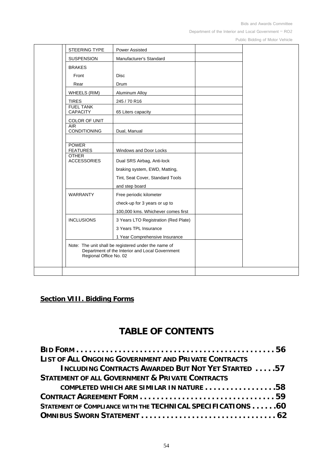Bids and Awards Committee

Department of the Interior and Local Government – RO2

Public Bidding of Motor Vehicle

| STEERING TYPE                       |                        | <b>Power Assisted</b>                                                                                   |  |
|-------------------------------------|------------------------|---------------------------------------------------------------------------------------------------------|--|
| <b>SUSPENSION</b>                   |                        | Manufacturer's Standard                                                                                 |  |
| <b>BRAKES</b>                       |                        |                                                                                                         |  |
| Front                               |                        | <b>Disc</b>                                                                                             |  |
| Rear                                |                        | Drum                                                                                                    |  |
| WHEELS (RIM)                        |                        | Aluminum Alloy                                                                                          |  |
| <b>TIRES</b>                        |                        | 245 / 70 R16                                                                                            |  |
| <b>FUEL TANK</b><br><b>CAPACITY</b> |                        | 65 Liters capacity                                                                                      |  |
| COLOR OF UNIT                       |                        |                                                                                                         |  |
| <b>AIR</b><br>CONDITIONING          |                        | Dual, Manual                                                                                            |  |
| <b>POWER</b><br><b>FEATURES</b>     |                        | Windows and Door Locks                                                                                  |  |
| <b>OTHER</b><br><b>ACCESSORIES</b>  |                        | Dual SRS Airbag, Anti-lock                                                                              |  |
|                                     |                        | braking system, EWD, Matting,                                                                           |  |
|                                     |                        | Tint, Seat Cover, Standard Tools                                                                        |  |
|                                     |                        | and step board                                                                                          |  |
| <b>WARRANTY</b>                     |                        | Free periodic kilometer                                                                                 |  |
|                                     |                        | check-up for 3 years or up to                                                                           |  |
|                                     |                        | 100,000 kms. Whichever comes first                                                                      |  |
| <b>INCLUSIONS</b>                   |                        | 3 Years LTO Registration (Red Plate)                                                                    |  |
|                                     |                        | 3 Years TPL Insurance                                                                                   |  |
|                                     |                        | 1 Year Comprehensive Insurance                                                                          |  |
|                                     | Regional Office No. 02 | Note: The unit shall be registered under the name of<br>Department of the Interior and Local Government |  |
|                                     |                        |                                                                                                         |  |

## <span id="page-53-0"></span>**Section VIII. Bidding Forms**

# **TABLE OF CONTENTS**

| <b>LIST OF ALL ONGOING GOVERNMENT AND PRIVATE CONTRACTS</b>  |
|--------------------------------------------------------------|
| INCLUDING CONTRACTS AWARDED BUT NOT YET STARTED  57          |
| <b>STATEMENT OF ALL GOVERNMENT &amp; PRIVATE CONTRACTS</b>   |
| COMPLETED WHICH ARE SIMILAR IN NATURE 58                     |
|                                                              |
| STATEMENT OF COMPLIANCE WITH THE TECHNICAL SPECIFICATIONS 60 |
|                                                              |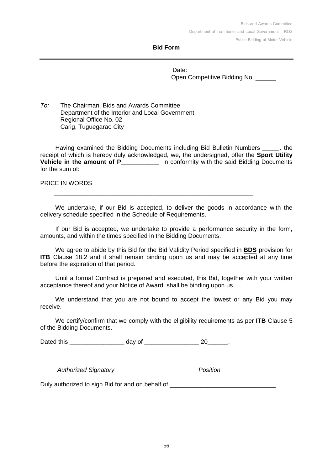#### **Bid Form**

Date: Open Competitive Bidding No.

*To:* The Chairman, Bids and Awards Committee Department of the Interior and Local Government Regional Office No. 02 Carig, Tuguegarao City

Having examined the Bidding Documents including Bid Bulletin Numbers *\_\_\_\_\_,* the receipt of which is hereby duly acknowledged, we, the undersigned, offer the **Sport Utility Vehicle in the amount of P** in conformity with the said Bidding Documents for the sum of:

PRICE IN WORDS

We undertake, if our Bid is accepted, to deliver the goods in accordance with the delivery schedule specified in the Schedule of Requirements.

\_\_\_\_\_\_\_\_\_\_\_\_\_\_\_\_\_\_\_\_\_\_\_\_\_\_\_\_\_\_\_\_\_\_\_\_\_\_\_\_\_\_\_\_\_\_\_\_\_\_\_\_\_\_

If our Bid is accepted, we undertake to provide a performance security in the form, amounts, and within the times specified in the Bidding Documents.

We agree to abide by this Bid for the Bid Validity Period specified in **BDS** provision for **ITB** Clause [18.2](#page-18-1) and it shall remain binding upon us and may be accepted at any time before the expiration of that period.

Until a formal Contract is prepared and executed, this Bid, together with your written acceptance thereof and your Notice of Award, shall be binding upon us.

We understand that you are not bound to accept the lowest or any Bid you may receive.

We certify/confirm that we comply with the eligibility requirements as per **ITB** Clause [5](#page-8-0) of the Bidding Documents.

Dated this \_\_\_\_\_\_\_\_\_\_\_\_\_\_\_\_\_\_\_\_\_\_ day of \_\_\_\_\_\_\_\_\_\_\_\_\_\_\_\_\_\_\_\_\_\_\_ 20\_\_\_\_\_\_\_.

 *Authorized Signatory Position*

Duly authorized to sign Bid for and on behalf of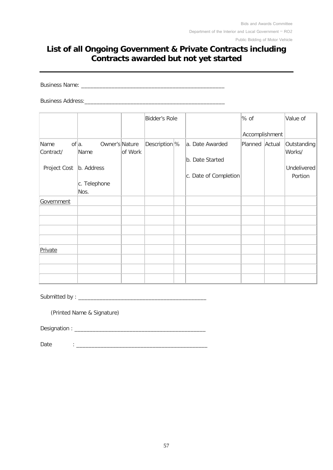## **List of all Ongoing Government & Private Contracts including Contracts awarded but not yet started**

Business Name: \_\_\_\_\_\_\_\_\_\_\_\_\_\_\_\_\_\_\_\_\_\_\_\_\_\_\_\_\_\_\_\_\_\_\_\_\_\_\_\_\_\_\_\_\_\_\_

Business Address:

|              |                             |         | Bidder's Role             |                       | % of           |        | Value of    |
|--------------|-----------------------------|---------|---------------------------|-----------------------|----------------|--------|-------------|
|              |                             |         |                           |                       | Accomplishment |        |             |
| Name         | $of  a .$<br>Owner's Nature |         | Description <sup> %</sup> | a. Date Awarded       | Planned        | Actual | Outstanding |
| Contract/    | Name                        | of Work |                           | b. Date Started       |                |        | Works/      |
| Project Cost | b. Address                  |         |                           |                       |                |        | Undelivered |
|              |                             |         |                           | c. Date of Completion |                |        | Portion     |
|              | c. Telephone                |         |                           |                       |                |        |             |
|              | Nos.                        |         |                           |                       |                |        |             |
| Government   |                             |         |                           |                       |                |        |             |
|              |                             |         |                           |                       |                |        |             |
|              |                             |         |                           |                       |                |        |             |
|              |                             |         |                           |                       |                |        |             |
|              |                             |         |                           |                       |                |        |             |
| Private      |                             |         |                           |                       |                |        |             |
|              |                             |         |                           |                       |                |        |             |
|              |                             |         |                           |                       |                |        |             |
|              |                             |         |                           |                       |                |        |             |

Submitted by : \_\_\_\_\_\_\_\_\_\_\_\_\_\_\_\_\_\_\_\_\_\_\_\_\_\_\_\_\_\_\_\_\_\_\_\_\_\_\_\_\_\_

(Printed Name & Signature)

Designation : \_\_\_\_\_\_\_\_\_\_\_\_\_\_\_\_\_\_\_\_\_\_\_\_\_\_\_\_\_\_\_\_\_\_\_\_\_\_\_\_\_\_\_

Date : \_\_\_\_\_\_\_\_\_\_\_\_\_\_\_\_\_\_\_\_\_\_\_\_\_\_\_\_\_\_\_\_\_\_\_\_\_\_\_\_\_\_\_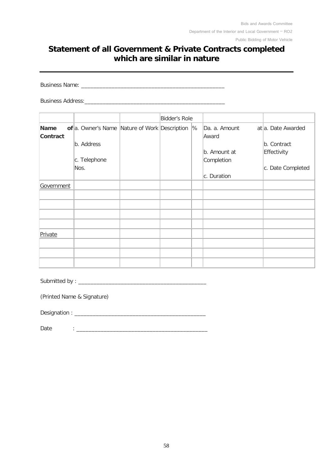## **Statement of all Government & Private Contracts completed which are similar in nature**

Business Name: \_\_\_\_\_\_\_\_\_\_\_\_\_\_\_\_\_\_\_\_\_\_\_\_\_\_\_\_\_\_\_\_\_\_\_\_\_\_\_\_\_\_\_\_\_\_\_

Business Address:

|                         |                                               | Bidder's Role |               |                        |                    |
|-------------------------|-----------------------------------------------|---------------|---------------|------------------------|--------------------|
| <b>Name</b><br>Contract | of a. Owner's Name Nature of Work Description |               | $\frac{9}{6}$ | Da. a. Amount<br>Award | at a. Date Awarded |
|                         | b. Address                                    |               |               |                        | b. Contract        |
|                         |                                               |               |               | b. Amount at           | Effectivity        |
|                         | c. Telephone                                  |               |               | Completion             |                    |
|                         | Nos.                                          |               |               |                        | c. Date Completed  |
|                         |                                               |               |               | c. Duration            |                    |
| Government              |                                               |               |               |                        |                    |
|                         |                                               |               |               |                        |                    |
|                         |                                               |               |               |                        |                    |
|                         |                                               |               |               |                        |                    |
|                         |                                               |               |               |                        |                    |
| Private                 |                                               |               |               |                        |                    |
|                         |                                               |               |               |                        |                    |
|                         |                                               |               |               |                        |                    |
|                         |                                               |               |               |                        |                    |

Submitted by : \_\_\_\_\_\_\_\_\_\_\_\_\_\_\_\_\_\_\_\_\_\_\_\_\_\_\_\_\_\_\_\_\_\_\_\_\_\_\_\_\_\_

(Printed Name & Signature)

Designation : \_\_\_\_\_\_\_\_\_\_\_\_\_\_\_\_\_\_\_\_\_\_\_\_\_\_\_\_\_\_\_\_\_\_\_\_\_\_\_\_\_\_\_

 $Date$  :  $\qquad \qquad$  :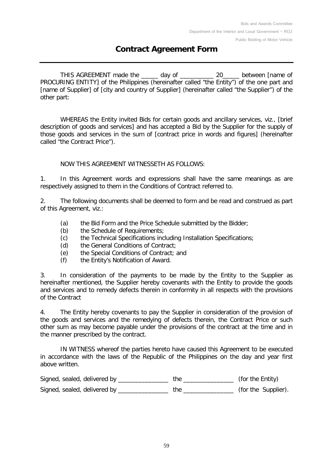## **Contract Agreement Form**

THIS AGREEMENT made the day of and the setween frame of PROCURING ENTITY] of the Philippines (hereinafter called "the Entity") of the one part and [name of Supplier] of [city and country of Supplier] (hereinafter called "the Supplier") of the other part:

WHEREAS the Entity invited Bids for certain goods and ancillary services, viz., [brief description of goods and services] and has accepted a Bid by the Supplier for the supply of those goods and services in the sum of [contract price in words and figures] (hereinafter called "the Contract Price").

#### NOW THIS AGREEMENT WITNESSETH AS FOLLOWS:

1. In this Agreement words and expressions shall have the same meanings as are respectively assigned to them in the Conditions of Contract referred to.

2. The following documents shall be deemed to form and be read and construed as part of this Agreement, viz.:

- (a) the Bid Form and the Price Schedule submitted by the Bidder;<br>(b) the Schedule of Requirements:
- the Schedule of Requirements;
- (c) the Technical Specifications including Installation Specifications;
- (d) the General Conditions of Contract;<br>(e) the Special Conditions of Contract;
- (e) the Special Conditions of Contract; and<br>(f) the Entity's Notification of Award.
- the Entity's Notification of Award.

3. In consideration of the payments to be made by the Entity to the Supplier as hereinafter mentioned, the Supplier hereby covenants with the Entity to provide the goods and services and to remedy defects therein in conformity in all respects with the provisions of the Contract

4. The Entity hereby covenants to pay the Supplier in consideration of the provision of the goods and services and the remedying of defects therein, the Contract Price or such other sum as may become payable under the provisions of the contract at the time and in the manner prescribed by the contract.

IN WITNESS whereof the parties hereto have caused this Agreement to be executed in accordance with the laws of the Republic of the Philippines on the day and year first above written.

| Signed, sealed, delivered by | (for the Entity)    |
|------------------------------|---------------------|
| Signed, sealed, delivered by | (for the Supplier). |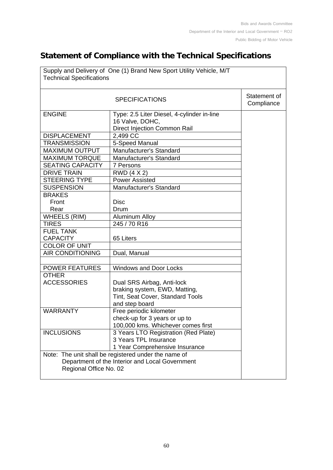## **Statement of Compliance with the Technical Specifications**

| Supply and Delivery of One (1) Brand New Sport Utility Vehicle, M/T<br><b>Technical Specifications</b> |                                            |  |  |  |  |
|--------------------------------------------------------------------------------------------------------|--------------------------------------------|--|--|--|--|
|                                                                                                        | Statement of<br>Compliance                 |  |  |  |  |
| <b>ENGINE</b>                                                                                          | Type: 2.5 Liter Diesel, 4-cylinder in-line |  |  |  |  |
|                                                                                                        | 16 Valve, DOHC,                            |  |  |  |  |
|                                                                                                        | Direct Injection Common Rail               |  |  |  |  |
| <b>DISPLACEMENT</b>                                                                                    | 2,499 CC                                   |  |  |  |  |
| <b>TRANSMISSION</b>                                                                                    | 5-Speed Manual                             |  |  |  |  |
| <b>MAXIMUM OUTPUT</b>                                                                                  | Manufacturer's Standard                    |  |  |  |  |
| <b>MAXIMUM TORQUE</b>                                                                                  | Manufacturer's Standard                    |  |  |  |  |
| <b>SEATING CAPACITY</b>                                                                                | 7 Persons                                  |  |  |  |  |
| <b>DRIVE TRAIN</b>                                                                                     | RWD (4 X 2)                                |  |  |  |  |
| <b>STEERING TYPE</b>                                                                                   | <b>Power Assisted</b>                      |  |  |  |  |
| <b>SUSPENSION</b>                                                                                      | <b>Manufacturer's Standard</b>             |  |  |  |  |
| <b>BRAKES</b>                                                                                          |                                            |  |  |  |  |
| Front                                                                                                  | <b>Disc</b>                                |  |  |  |  |
| Rear                                                                                                   | Drum                                       |  |  |  |  |
| <b>WHEELS (RIM)</b>                                                                                    | <b>Aluminum Alloy</b>                      |  |  |  |  |
| <b>TIRES</b>                                                                                           | 245 / 70 R16                               |  |  |  |  |
| <b>FUEL TANK</b>                                                                                       |                                            |  |  |  |  |
| <b>CAPACITY</b>                                                                                        | 65 Liters                                  |  |  |  |  |
| <b>COLOR OF UNIT</b>                                                                                   |                                            |  |  |  |  |
| <b>AIR CONDITIONING</b>                                                                                | Dual, Manual                               |  |  |  |  |
|                                                                                                        |                                            |  |  |  |  |
| <b>POWER FEATURES</b>                                                                                  | <b>Windows and Door Locks</b>              |  |  |  |  |
| <b>OTHER</b>                                                                                           |                                            |  |  |  |  |
| <b>ACCESSORIES</b>                                                                                     | Dual SRS Airbag, Anti-lock                 |  |  |  |  |
|                                                                                                        | braking system, EWD, Matting,              |  |  |  |  |
|                                                                                                        | Tint, Seat Cover, Standard Tools           |  |  |  |  |
|                                                                                                        | and step board                             |  |  |  |  |
| <b>WARRANTY</b>                                                                                        | Free periodic kilometer                    |  |  |  |  |
|                                                                                                        | check-up for 3 years or up to              |  |  |  |  |
|                                                                                                        | 100,000 kms. Whichever comes first         |  |  |  |  |
| <b>INCLUSIONS</b>                                                                                      | 3 Years LTO Registration (Red Plate)       |  |  |  |  |
|                                                                                                        | 3 Years TPL Insurance                      |  |  |  |  |
|                                                                                                        | 1 Year Comprehensive Insurance             |  |  |  |  |
| Note: The unit shall be registered under the name of                                                   |                                            |  |  |  |  |
| Department of the Interior and Local Government                                                        |                                            |  |  |  |  |
| Regional Office No. 02                                                                                 |                                            |  |  |  |  |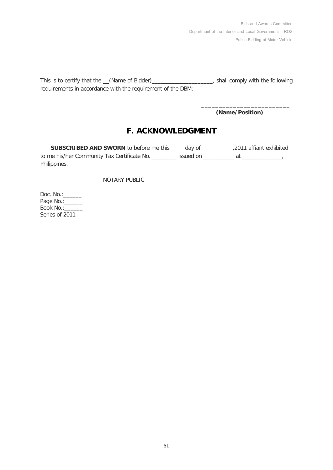Bids and Awards Committee Department of the Interior and Local Government – RO2 Public Bidding of Motor Vehicle

This is to certify that the \_\_(Name of Bidder)\_\_\_\_\_\_\_\_\_\_\_\_\_\_\_\_\_\_\_\_, shall comply with the following requirements in accordance with the requirement of the DBM:

 **(Name/Position)**

**\_\_\_\_\_\_\_\_\_\_\_\_\_\_\_\_\_\_\_\_\_\_\_\_\_**

## **F. ACKNOWLEDGMENT**

**SUBSCRIBED AND SWORN** to before me this \_\_\_\_ day of \_\_\_\_\_\_\_\_\_\_,2011 affiant exhibited to me his/her Community Tax Certificate No. \_\_\_\_\_\_\_\_ issued on \_\_\_\_\_\_\_\_\_\_\_ at \_\_\_\_\_\_\_\_\_\_\_\_\_\_\_\_\_\_ Philippines.

NOTARY PUBLIC

Doc. No.:\_\_\_\_\_\_\_ Page No.: \_\_\_\_\_\_ Book No.:\_\_\_\_\_\_\_ Series of 2011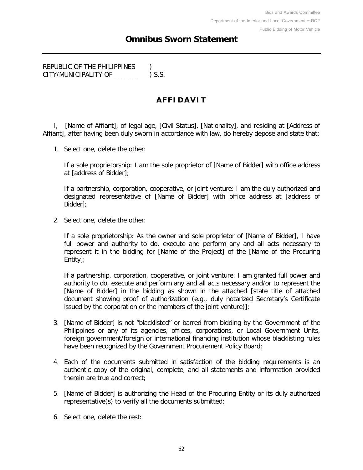## **Omnibus Sworn Statement**

REPUBLIC OF THE PHILIPPINES ) CITY/MUNICIPALITY OF \_\_\_\_\_\_ ) S.S.

## **AFFIDAVIT**

I, [Name of Affiant], of legal age, [Civil Status], [Nationality], and residing at [Address of Affiant], after having been duly sworn in accordance with law, do hereby depose and state that:

1. Select one, delete the other:

If a sole proprietorship: I am the sole proprietor of [Name of Bidder] with office address at [address of Bidder];

If a partnership, corporation, cooperative, or joint venture: I am the duly authorized and designated representative of [Name of Bidder] with office address at [address of Bidder];

2. Select one, delete the other:

If a sole proprietorship: As the owner and sole proprietor of [Name of Bidder], I have full power and authority to do, execute and perform any and all acts necessary to represent it in the bidding for [Name of the Project] of the [Name of the Procuring Entity];

If a partnership, corporation, cooperative, or joint venture: I am granted full power and authority to do, execute and perform any and all acts necessary and/or to represent the [Name of Bidder] in the bidding as shown in the attached [state title of attached document showing proof of authorization (e.g., duly notarized Secretary's Certificate issued by the corporation or the members of the joint venture)];

- 3. [Name of Bidder] is not "blacklisted" or barred from bidding by the Government of the Philippines or any of its agencies, offices, corporations, or Local Government Units, foreign government/foreign or international financing institution whose blacklisting rules have been recognized by the Government Procurement Policy Board;
- 4. Each of the documents submitted in satisfaction of the bidding requirements is an authentic copy of the original, complete, and all statements and information provided therein are true and correct;
- 5. [Name of Bidder] is authorizing the Head of the Procuring Entity or its duly authorized representative(s) to verify all the documents submitted;
- 6. Select one, delete the rest: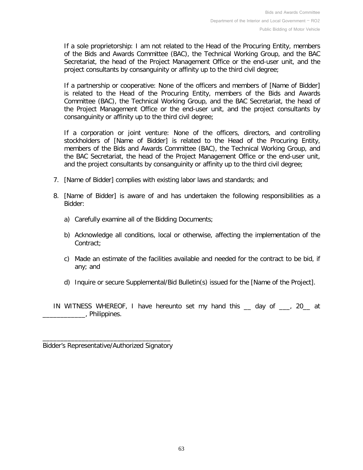If a sole proprietorship: I am not related to the Head of the Procuring Entity, members of the Bids and Awards Committee (BAC), the Technical Working Group, and the BAC Secretariat, the head of the Project Management Office or the end-user unit, and the project consultants by consanguinity or affinity up to the third civil degree;

If a partnership or cooperative: None of the officers and members of [Name of Bidder] is related to the Head of the Procuring Entity, members of the Bids and Awards Committee (BAC), the Technical Working Group, and the BAC Secretariat, the head of the Project Management Office or the end-user unit, and the project consultants by consanguinity or affinity up to the third civil degree;

If a corporation or joint venture: None of the officers, directors, and controlling stockholders of [Name of Bidder] is related to the Head of the Procuring Entity, members of the Bids and Awards Committee (BAC), the Technical Working Group, and the BAC Secretariat, the head of the Project Management Office or the end-user unit, and the project consultants by consanguinity or affinity up to the third civil degree;

- 7. [Name of Bidder] complies with existing labor laws and standards; and
- 8. [Name of Bidder] is aware of and has undertaken the following responsibilities as a Bidder:
	- a) Carefully examine all of the Bidding Documents;
	- b) Acknowledge all conditions, local or otherwise, affecting the implementation of the Contract;
	- c) Made an estimate of the facilities available and needed for the contract to be bid, if any; and
	- d) Inquire or secure Supplemental/Bid Bulletin(s) issued for the [Name of the Project].

IN WITNESS WHEREOF, I have hereunto set my hand this \_\_ day of \_\_\_, 20\_\_ at \_\_\_\_\_\_\_\_\_\_\_\_, Philippines.

\_\_\_\_\_\_\_\_\_\_\_\_\_\_\_\_\_\_\_\_\_\_\_\_\_\_\_\_\_\_\_\_\_\_\_\_ Bidder's Representative/Authorized Signatory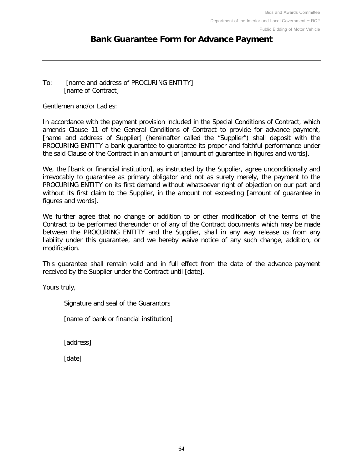## **Bank Guarantee Form for Advance Payment**

#### To: [name and address of PROCURING ENTITY] [name of Contract]

Gentlemen and/or Ladies:

In accordance with the payment provision included in the Special Conditions of Contract, which amends Clause 11 of the General Conditions of Contract to provide for advance payment, [name and address of Supplier] (hereinafter called the "Supplier") shall deposit with the PROCURING ENTITY a bank guarantee to guarantee its proper and faithful performance under the said Clause of the Contract in an amount of [amount of guarantee in figures and words].

We, the [bank or financial institution], as instructed by the Supplier, agree unconditionally and irrevocably to guarantee as primary obligator and not as surety merely, the payment to the PROCURING ENTITY on its first demand without whatsoever right of objection on our part and without its first claim to the Supplier, in the amount not exceeding [amount of guarantee in figures and words].

We further agree that no change or addition to or other modification of the terms of the Contract to be performed thereunder or of any of the Contract documents which may be made between the PROCURING ENTITY and the Supplier, shall in any way release us from any liability under this guarantee, and we hereby waive notice of any such change, addition, or modification.

This guarantee shall remain valid and in full effect from the date of the advance payment received by the Supplier under the Contract until [date].

Yours truly,

Signature and seal of the Guarantors

[name of bank or financial institution]

[address]

[date]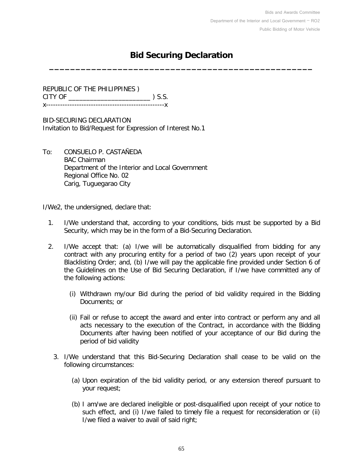## **Bid Securing Declaration \_\_\_\_\_\_\_\_\_\_\_\_\_\_\_\_\_\_\_\_\_\_\_\_\_\_\_\_\_\_\_\_\_\_\_\_\_\_\_\_\_\_\_\_\_\_\_\_\_\_**

REPUBLIC OF THE PHILIPPINES ) CITY OF \_\_\_\_\_\_\_\_\_\_\_\_\_\_\_\_\_\_\_\_\_\_\_ ) S.S. x--------------------------------------------------x

BID-SECURING DECLARATION Invitation to Bid/Request for Expression of Interest No.1

To: CONSUELO P. CASTAÑEDA BAC Chairman Department of the Interior and Local Government Regional Office No. 02 Carig, Tuguegarao City

I/We2, the undersigned, declare that:

- 1. I/We understand that, according to your conditions, bids must be supported by a Bid Security, which may be in the form of a Bid-Securing Declaration.
- 2. I/We accept that: (a) I/we will be automatically disqualified from bidding for any contract with any procuring entity for a period of two (2) years upon receipt of your Blacklisting Order; and, (b) I/we will pay the applicable fine provided under Section 6 of the Guidelines on the Use of Bid Securing Declaration, if I/we have committed any of the following actions:
	- (i) Withdrawn my/our Bid during the period of bid validity required in the Bidding Documents; or
	- (ii) Fail or refuse to accept the award and enter into contract or perform any and all acts necessary to the execution of the Contract, in accordance with the Bidding Documents after having been notified of your acceptance of our Bid during the period of bid validity
	- 3. I/We understand that this Bid-Securing Declaration shall cease to be valid on the following circumstances:
		- (a) Upon expiration of the bid validity period, or any extension thereof pursuant to your request;
		- (b) I am/we are declared ineligible or post-disqualified upon receipt of your notice to such effect, and (i) I/we failed to timely file a request for reconsideration or (ii) I/we filed a waiver to avail of said right;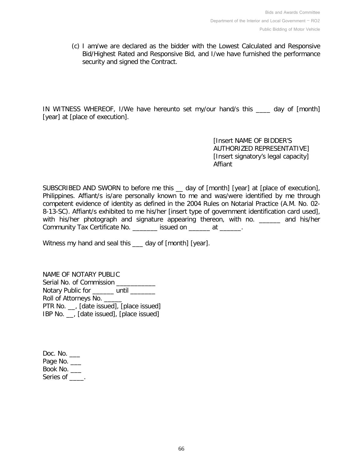(c) I am/we are declared as the bidder with the Lowest Calculated and Responsive Bid/Highest Rated and Responsive Bid, and I/we have furnished the performance security and signed the Contract.

IN WITNESS WHEREOF, I/We have hereunto set my/our hand/s this \_\_\_\_ day of [month] [year] at [place of execution].

> [Insert NAME OF BIDDER'S AUTHORIZED REPRESENTATIVE] [Insert signatory's legal capacity] Affiant

SUBSCRIBED AND SWORN to before me this \_\_ day of [month] [year] at [place of execution], Philippines. Affiant/s is/are personally known to me and was/were identified by me through competent evidence of identity as defined in the 2004 Rules on Notarial Practice (A.M. No. 02- 8-13-SC). Affiant/s exhibited to me his/her [insert type of government identification card used], with his/her photograph and signature appearing thereon, with no. \_\_\_\_\_\_ and his/her Community Tax Certificate No. \_\_\_\_\_\_\_ issued on \_\_\_\_\_\_ at \_\_\_\_\_\_.

Witness my hand and seal this \_\_\_ day of [month] [year].

NAME OF NOTARY PUBLIC Serial No. of Commission Notary Public for \_\_\_\_\_\_ until \_\_\_\_\_\_ Roll of Attorneys No. PTR No. \_\_, [date issued], [place issued] IBP No. \_\_, [date issued], [place issued]

Doc. No. \_\_\_ Page No. \_\_\_ Book No. \_\_\_ Series of \_\_\_\_.